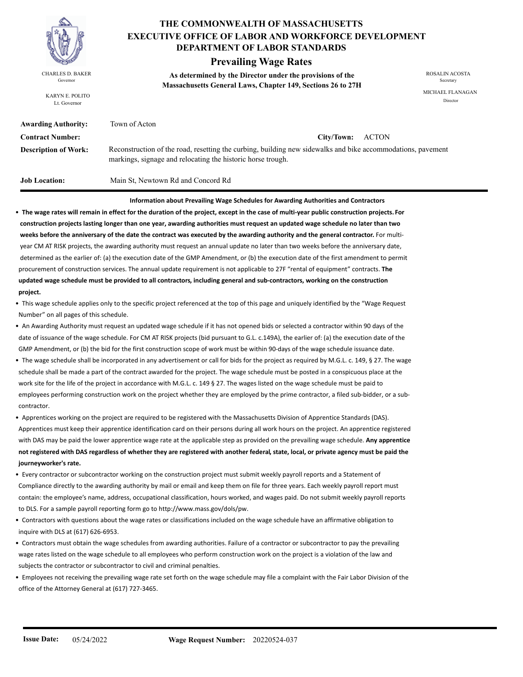

KARYN E. POLITO Lt. Governor

### **THE COMMONWEALTH OF MASSACHUSETTS DEPARTMENT OF LABOR STANDARDS EXECUTIVE OFFICE OF LABOR AND WORKFORCE DEVELOPMENT**

### **Prevailing Wage Rates**

**As determined by the Director under the provisions of the**  CHARLES D. BAKER ROSALIN ACOSTA Governor<br> **Massachusetts General Laws, Chapter 149, Sections 26 to 27H** 

MICHAEL FLANAGAN Director

| <b>Awarding Authority:</b>  | Town of Acton                                                                                                                                                              |
|-----------------------------|----------------------------------------------------------------------------------------------------------------------------------------------------------------------------|
| <b>Contract Number:</b>     | City/Town: ACTON                                                                                                                                                           |
| <b>Description of Work:</b> | Reconstruction of the road, resetting the curbing, building new sidewalks and bike accommodations, pavement<br>markings, signage and relocating the historic horse trough. |
| Job Location:               | Main St. Newtown Rd and Concord Rd                                                                                                                                         |

**Information about Prevailing Wage Schedules for Awarding Authorities and Contractors** 

• **The wage rates will remain in effect for the duration of the project, except in the case of multi-year public construction projects. For construction projects lasting longer than one year, awarding authorities must request an updated wage schedule no later than two weeks before the anniversary of the date the contract was executed by the awarding authority and the general contractor.** For multi year CM AT RISK projects, the awarding authority must request an annual update no later than two weeks before the anniversary date, determined as the earlier of: (a) the execution date of the GMP Amendment, or (b) the execution date of the first amendment to permit procurement of construction services. The annual update requirement is not applicable to 27F "rental of equipment" contracts. **The updated wage schedule must be provided to all contractors, including general and sub-contractors, working on the construction project.**

• This wage schedule applies only to the specific project referenced at the top of this page and uniquely identified by the "Wage Request Number" on all pages of this schedule.

- An Awarding Authority must request an updated wage schedule if it has not opened bids or selected a contractor within 90 days of the date of issuance of the wage schedule. For CM AT RISK projects (bid pursuant to G.L. c.149A), the earlier of: (a) the execution date of the GMP Amendment, or (b) the bid for the first construction scope of work must be within 90-days of the wage schedule issuance date.
- The wage schedule shall be incorporated in any advertisement or call for bids for the project as required by M.G.L. c. 149, § 27. The wage schedule shall be made a part of the contract awarded for the project. The wage schedule must be posted in a conspicuous place at the work site for the life of the project in accordance with M.G.L. c. 149 § 27. The wages listed on the wage schedule must be paid to employees performing construction work on the project whether they are employed by the prime contractor, a filed sub-bidder, or a sub contractor.

• Apprentices working on the project are required to be registered with the Massachusetts Division of Apprentice Standards (DAS). Apprentices must keep their apprentice identification card on their persons during all work hours on the project. An apprentice registered with DAS may be paid the lower apprentice wage rate at the applicable step as provided on the prevailing wage schedule. **Any apprentice not registered with DAS regardless of whether they are registered with another federal, state, local, or private agency must be paid the journeyworker's rate.**

- Every contractor or subcontractor working on the construction project must submit weekly payroll reports and a Statement of Compliance directly to the awarding authority by mail or email and keep them on file for three years. Each weekly payroll report must contain: the employee's name, address, occupational classification, hours worked, and wages paid. Do not submit weekly payroll reports to DLS. For a sample payroll reporting form go to http://www.mass.gov/dols/pw.
- Contractors with questions about the wage rates or classifications included on the wage schedule have an affirmative obligation to inquire with DLS at (617) 626-6953.
- Contractors must obtain the wage schedules from awarding authorities. Failure of a contractor or subcontractor to pay the prevailing wage rates listed on the wage schedule to all employees who perform construction work on the project is a violation of the law and subjects the contractor or subcontractor to civil and criminal penalties.
- Employees not receiving the prevailing wage rate set forth on the wage schedule may file a complaint with the Fair Labor Division of the office of the Attorney General at (617) 727-3465.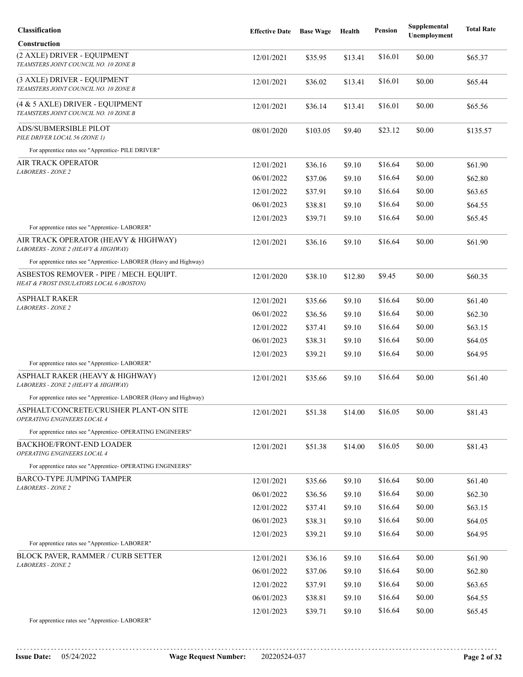| Classification                                                                      | <b>Effective Date</b> | <b>Base Wage</b> | Health  | <b>Pension</b> | Supplemental<br>Unemployment | <b>Total Rate</b> |
|-------------------------------------------------------------------------------------|-----------------------|------------------|---------|----------------|------------------------------|-------------------|
| Construction                                                                        |                       |                  |         |                |                              |                   |
| (2 AXLE) DRIVER - EQUIPMENT<br>TEAMSTERS JOINT COUNCIL NO. 10 ZONE B                | 12/01/2021            | \$35.95          | \$13.41 | \$16.01        | \$0.00                       | \$65.37           |
| (3 AXLE) DRIVER - EQUIPMENT<br>TEAMSTERS JOINT COUNCIL NO. 10 ZONE B                | 12/01/2021            | \$36.02          | \$13.41 | \$16.01        | \$0.00                       | \$65.44           |
| (4 & 5 AXLE) DRIVER - EQUIPMENT<br>TEAMSTERS JOINT COUNCIL NO. 10 ZONE B            | 12/01/2021            | \$36.14          | \$13.41 | \$16.01        | \$0.00                       | \$65.56           |
| ADS/SUBMERSIBLE PILOT<br>PILE DRIVER LOCAL 56 (ZONE 1)                              | 08/01/2020            | \$103.05         | \$9.40  | \$23.12        | \$0.00                       | \$135.57          |
| For apprentice rates see "Apprentice- PILE DRIVER"                                  |                       |                  |         |                |                              |                   |
| AIR TRACK OPERATOR                                                                  | 12/01/2021            | \$36.16          | \$9.10  | \$16.64        | \$0.00                       | \$61.90           |
| <b>LABORERS - ZONE 2</b>                                                            | 06/01/2022            | \$37.06          | \$9.10  | \$16.64        | \$0.00                       | \$62.80           |
|                                                                                     | 12/01/2022            | \$37.91          | \$9.10  | \$16.64        | \$0.00                       | \$63.65           |
|                                                                                     | 06/01/2023            | \$38.81          | \$9.10  | \$16.64        | \$0.00                       | \$64.55           |
|                                                                                     | 12/01/2023            | \$39.71          | \$9.10  | \$16.64        | \$0.00                       | \$65.45           |
| For apprentice rates see "Apprentice-LABORER"                                       |                       |                  |         |                |                              |                   |
| AIR TRACK OPERATOR (HEAVY & HIGHWAY)<br>LABORERS - ZONE 2 (HEAVY & HIGHWAY)         | 12/01/2021            | \$36.16          | \$9.10  | \$16.64        | \$0.00                       | \$61.90           |
| For apprentice rates see "Apprentice- LABORER (Heavy and Highway)                   |                       |                  |         |                |                              |                   |
| ASBESTOS REMOVER - PIPE / MECH. EQUIPT.<br>HEAT & FROST INSULATORS LOCAL 6 (BOSTON) | 12/01/2020            | \$38.10          | \$12.80 | \$9.45         | \$0.00                       | \$60.35           |
| ASPHALT RAKER                                                                       | 12/01/2021            | \$35.66          | \$9.10  | \$16.64        | \$0.00                       | \$61.40           |
| <b>LABORERS - ZONE 2</b>                                                            | 06/01/2022            | \$36.56          | \$9.10  | \$16.64        | \$0.00                       | \$62.30           |
|                                                                                     | 12/01/2022            | \$37.41          | \$9.10  | \$16.64        | \$0.00                       | \$63.15           |
|                                                                                     | 06/01/2023            | \$38.31          | \$9.10  | \$16.64        | \$0.00                       | \$64.05           |
|                                                                                     | 12/01/2023            | \$39.21          | \$9.10  | \$16.64        | \$0.00                       | \$64.95           |
| For apprentice rates see "Apprentice- LABORER"                                      |                       |                  |         |                |                              |                   |
| ASPHALT RAKER (HEAVY & HIGHWAY)<br>LABORERS - ZONE 2 (HEAVY & HIGHWAY)              | 12/01/2021            | \$35.66          | \$9.10  | \$16.64        | \$0.00                       | \$61.40           |
| For apprentice rates see "Apprentice-LABORER (Heavy and Highway)                    |                       |                  |         |                |                              |                   |
| ASPHALT/CONCRETE/CRUSHER PLANT-ON SITE<br>OPERATING ENGINEERS LOCAL 4               | 12/01/2021            | \$51.38          | \$14.00 | \$16.05        | \$0.00                       | \$81.43           |
| For apprentice rates see "Apprentice- OPERATING ENGINEERS"                          |                       |                  |         |                |                              |                   |
| <b>BACKHOE/FRONT-END LOADER</b><br>OPERATING ENGINEERS LOCAL 4                      | 12/01/2021            | \$51.38          | \$14.00 | \$16.05        | \$0.00                       | \$81.43           |
| For apprentice rates see "Apprentice- OPERATING ENGINEERS"                          |                       |                  |         |                |                              |                   |
| BARCO-TYPE JUMPING TAMPER<br>LABORERS - ZONE 2                                      | 12/01/2021            | \$35.66          | \$9.10  | \$16.64        | \$0.00                       | \$61.40           |
|                                                                                     | 06/01/2022            | \$36.56          | \$9.10  | \$16.64        | \$0.00                       | \$62.30           |
|                                                                                     | 12/01/2022            | \$37.41          | \$9.10  | \$16.64        | \$0.00                       | \$63.15           |
|                                                                                     | 06/01/2023            | \$38.31          | \$9.10  | \$16.64        | \$0.00                       | \$64.05           |
|                                                                                     | 12/01/2023            | \$39.21          | \$9.10  | \$16.64        | \$0.00                       | \$64.95           |
| For apprentice rates see "Apprentice-LABORER"                                       |                       |                  |         |                |                              |                   |
| <b>BLOCK PAVER, RAMMER / CURB SETTER</b><br><b>LABORERS - ZONE 2</b>                | 12/01/2021            | \$36.16          | \$9.10  | \$16.64        | \$0.00                       | \$61.90           |
|                                                                                     | 06/01/2022            | \$37.06          | \$9.10  | \$16.64        | \$0.00                       | \$62.80           |
|                                                                                     | 12/01/2022            | \$37.91          | \$9.10  | \$16.64        | \$0.00                       | \$63.65           |
|                                                                                     | 06/01/2023            | \$38.81          | \$9.10  | \$16.64        | \$0.00                       | \$64.55           |
|                                                                                     | 12/01/2023            | \$39.71          | \$9.10  | \$16.64        | \$0.00                       | \$65.45           |
| For apprentice rates see "Apprentice- LABORER"                                      |                       |                  |         |                |                              |                   |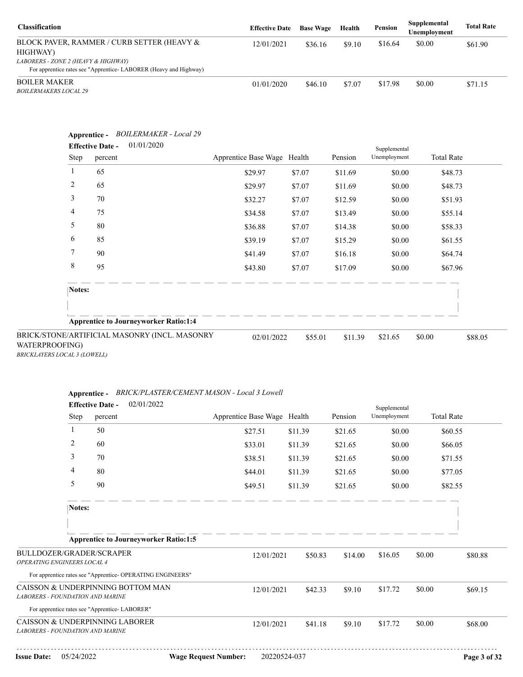| <b>Classification</b>                                                                                   | <b>Effective Date</b> | <b>Base Wage</b> | Health | Pension | Supplemental<br>Unemployment | <b>Total Rate</b> |
|---------------------------------------------------------------------------------------------------------|-----------------------|------------------|--------|---------|------------------------------|-------------------|
| BLOCK PAVER, RAMMER / CURB SETTER (HEAVY &<br>HIGHWAY)                                                  | 12/01/2021            | \$36.16          | \$9.10 | \$16.64 | \$0.00                       | \$61.90           |
| LABORERS - ZONE 2 (HEAVY & HIGHWAY)<br>For apprentice rates see "Apprentice-LABORER (Heavy and Highway) |                       |                  |        |         |                              |                   |
| <b>BOILER MAKER</b><br><b>BOILERMAKERS LOCAL 29</b>                                                     | 01/01/2020            | \$46.10          | \$7.07 | \$17.98 | \$0.00                       | \$71.15           |

| Step           | 01/01/2020<br><b>Effective Date -</b><br>percent | Apprentice Base Wage Health |        | Pension | Supplemental<br>Unemployment | <b>Total Rate</b> |
|----------------|--------------------------------------------------|-----------------------------|--------|---------|------------------------------|-------------------|
| 1              | 65                                               | \$29.97                     | \$7.07 | \$11.69 | \$0.00                       | \$48.73           |
| $\overline{c}$ | 65                                               | \$29.97                     | \$7.07 | \$11.69 | \$0.00                       | \$48.73           |
| 3              | 70                                               | \$32.27                     | \$7.07 | \$12.59 | \$0.00                       | \$51.93           |
| 4              | 75                                               | \$34.58                     | \$7.07 | \$13.49 | \$0.00                       | \$55.14           |
| 5              | 80                                               | \$36.88                     | \$7.07 | \$14.38 | \$0.00                       | \$58.33           |
| 6              | 85                                               | \$39.19                     | \$7.07 | \$15.29 | \$0.00                       | \$61.55           |
| 7              | 90                                               | \$41.49                     | \$7.07 | \$16.18 | \$0.00                       | \$64.74           |
| 8              | 95                                               | \$43.80                     | \$7.07 | \$17.09 | \$0.00                       | \$67.96           |
| Notes:         |                                                  |                             |        |         |                              |                   |
|                |                                                  |                             |        |         |                              |                   |
|                | <b>Apprentice to Journeyworker Ratio:1:4</b>     |                             |        |         |                              |                   |

*BRICKLAYERS LOCAL 3 (LOWELL)*

### **Apprentice -** *BRICK/PLASTER/CEMENT MASON - Local 3 Lowell*

|                                                                       |              | <b>Effective Date -</b> | 02/01/2022                                                 |                             |         |         | Supplemental |        |                   |
|-----------------------------------------------------------------------|--------------|-------------------------|------------------------------------------------------------|-----------------------------|---------|---------|--------------|--------|-------------------|
|                                                                       | Step         | percent                 |                                                            | Apprentice Base Wage Health |         | Pension | Unemployment |        | <b>Total Rate</b> |
|                                                                       | $\mathbf{1}$ | 50                      |                                                            | \$27.51                     | \$11.39 | \$21.65 | \$0.00       |        | \$60.55           |
|                                                                       | 2            | 60                      |                                                            | \$33.01                     | \$11.39 | \$21.65 | \$0.00       |        | \$66.05           |
|                                                                       | 3            | 70                      |                                                            | \$38.51                     | \$11.39 | \$21.65 | \$0.00       |        | \$71.55           |
|                                                                       | 4            | 80                      |                                                            | \$44.01                     | \$11.39 | \$21.65 | \$0.00       |        | \$77.05           |
|                                                                       | 5            | 90                      |                                                            | \$49.51                     | \$11.39 | \$21.65 | \$0.00       |        | \$82.55           |
|                                                                       | Notes:       |                         |                                                            |                             |         |         |              |        |                   |
|                                                                       |              |                         |                                                            |                             |         |         |              |        |                   |
|                                                                       |              |                         | <b>Apprentice to Journeyworker Ratio:1:5</b>               |                             |         |         |              |        |                   |
| BULLDOZER/GRADER/SCRAPER<br>OPERATING ENGINEERS LOCAL 4               |              |                         |                                                            | 12/01/2021                  | \$50.83 | \$14.00 | \$16.05      | \$0.00 | \$80.88           |
|                                                                       |              |                         | For apprentice rates see "Apprentice- OPERATING ENGINEERS" |                             |         |         |              |        |                   |
| CAISSON & UNDERPINNING BOTTOM MAN<br>LABORERS - FOUNDATION AND MARINE |              |                         |                                                            | 12/01/2021                  | \$42.33 | \$9.10  | \$17.72      | \$0.00 | \$69.15           |
| For apprentice rates see "Apprentice-LABORER"                         |              |                         |                                                            |                             |         |         |              |        |                   |
| CAISSON & UNDERPINNING LABORER<br>LABORERS - FOUNDATION AND MARINE    |              |                         |                                                            | 12/01/2021                  | \$41.18 | \$9.10  | \$17.72      | \$0.00 | \$68.00           |
|                                                                       |              |                         |                                                            |                             |         |         |              |        |                   |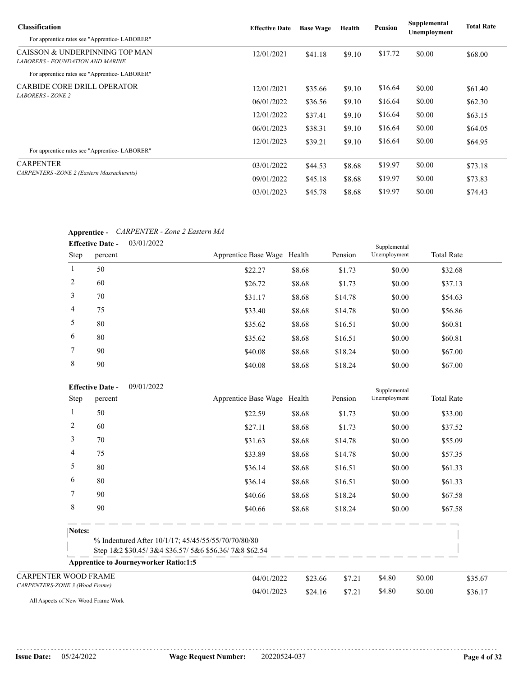| <b>Classification</b>                                                     | <b>Effective Date</b> | <b>Base Wage</b> | Health | Pension | Supplemental<br>Unemployment | <b>Total Rate</b> |
|---------------------------------------------------------------------------|-----------------------|------------------|--------|---------|------------------------------|-------------------|
| For apprentice rates see "Apprentice-LABORER"                             |                       |                  |        |         |                              |                   |
| CAISSON & UNDERPINNING TOP MAN<br><b>LABORERS - FOUNDATION AND MARINE</b> | 12/01/2021            | \$41.18          | \$9.10 | \$17.72 | \$0.00                       | \$68.00           |
| For apprentice rates see "Apprentice-LABORER"                             |                       |                  |        |         |                              |                   |
| <b>CARBIDE CORE DRILL OPERATOR</b>                                        | 12/01/2021            | \$35.66          | \$9.10 | \$16.64 | \$0.00                       | \$61.40           |
| <b>LABORERS - ZONE 2</b>                                                  | 06/01/2022            | \$36.56          | \$9.10 | \$16.64 | \$0.00                       | \$62.30           |
|                                                                           | 12/01/2022            | \$37.41          | \$9.10 | \$16.64 | \$0.00                       | \$63.15           |
|                                                                           | 06/01/2023            | \$38.31          | \$9.10 | \$16.64 | \$0.00                       | \$64.05           |
| For apprentice rates see "Apprentice-LABORER"                             | 12/01/2023            | \$39.21          | \$9.10 | \$16.64 | \$0.00                       | \$64.95           |
| <b>CARPENTER</b>                                                          | 03/01/2022            | \$44.53          | \$8.68 | \$19.97 | \$0.00                       | \$73.18           |
| <b>CARPENTERS</b> - ZONE 2 (Eastern Massachusetts)                        | 09/01/2022            | \$45.18          | \$8.68 | \$19.97 | \$0.00                       | \$73.83           |
|                                                                           | 03/01/2023            | \$45.78          | \$8.68 | \$19.97 | \$0.00                       | \$74.43           |

### **Apprentice -** *CARPENTER - Zone 2 Eastern MA*

|                | 03/01/2022<br><b>Effective Date -</b> |                             |        | Supplemental |              |                   |
|----------------|---------------------------------------|-----------------------------|--------|--------------|--------------|-------------------|
| Step           | percent                               | Apprentice Base Wage Health |        | Pension      | Unemployment | <b>Total Rate</b> |
| 1              | 50                                    | \$22.27                     | \$8.68 | \$1.73       | \$0.00       | \$32.68           |
| 2              | 60                                    | \$26.72                     | \$8.68 | \$1.73       | \$0.00       | \$37.13           |
| 3              | 70                                    | \$31.17                     | \$8.68 | \$14.78      | \$0.00       | \$54.63           |
| $\overline{4}$ | 75                                    | \$33.40                     | \$8.68 | \$14.78      | \$0.00       | \$56.86           |
| 5              | 80                                    | \$35.62                     | \$8.68 | \$16.51      | \$0.00       | \$60.81           |
| 6              | 80                                    | \$35.62                     | \$8.68 | \$16.51      | \$0.00       | \$60.81           |
| $\tau$         | 90                                    | \$40.08                     | \$8.68 | \$18.24      | \$0.00       | \$67.00           |
| 8              | 90                                    | \$40.08                     | \$8.68 | \$18.24      | \$0.00       | \$67.00           |

|                                | <b>Effective Date -</b> | 09/01/2022                                   |                                                                                                             |         | Supplemental |              |        |                   |         |
|--------------------------------|-------------------------|----------------------------------------------|-------------------------------------------------------------------------------------------------------------|---------|--------------|--------------|--------|-------------------|---------|
|                                | Step<br>percent         |                                              | Apprentice Base Wage Health                                                                                 |         | Pension      | Unemployment |        | <b>Total Rate</b> |         |
| $\mathbf{1}$                   | 50                      |                                              | \$22.59                                                                                                     | \$8.68  | \$1.73       | \$0.00       |        | \$33.00           |         |
| 2                              | 60                      |                                              | \$27.11                                                                                                     | \$8.68  | \$1.73       | \$0.00       |        | \$37.52           |         |
| 3                              | 70                      |                                              | \$31.63                                                                                                     | \$8.68  | \$14.78      | \$0.00       |        | \$55.09           |         |
| 4                              | 75                      |                                              | \$33.89                                                                                                     | \$8.68  | \$14.78      | \$0.00       |        | \$57.35           |         |
| 5                              | 80                      |                                              | \$36.14                                                                                                     | \$8.68  | \$16.51      | \$0.00       |        | \$61.33           |         |
| 6                              | 80                      |                                              | \$36.14                                                                                                     | \$8.68  | \$16.51      | \$0.00       |        | \$61.33           |         |
| 7                              | 90                      |                                              | \$40.66                                                                                                     | \$8.68  | \$18.24      | \$0.00       |        | \$67.58           |         |
| 8                              | 90                      |                                              | \$40.66                                                                                                     | \$8.68  | \$18.24      | \$0.00       |        | \$67.58           |         |
|                                | Notes:                  |                                              |                                                                                                             |         |              |              |        |                   |         |
|                                |                         |                                              | % Indentured After 10/1/17; 45/45/55/55/70/70/80/80<br>Step 1&2 \$30.45/3&4 \$36.57/5&6 \$56.36/7&8 \$62.54 |         |              |              |        |                   |         |
|                                |                         | <b>Apprentice to Journeyworker Ratio:1:5</b> |                                                                                                             |         |              |              |        |                   |         |
| <b>CARPENTER WOOD FRAME</b>    |                         |                                              | 04/01/2022                                                                                                  | \$23.66 | \$7.21       | \$4.80       | \$0.00 |                   | \$35.67 |
| CARPENTERS-ZONE 3 (Wood Frame) |                         |                                              | 04/01/2023                                                                                                  | \$24.16 | \$7.21       | \$4.80       | \$0.00 |                   | \$36.17 |

All Aspects of New Wood Frame Work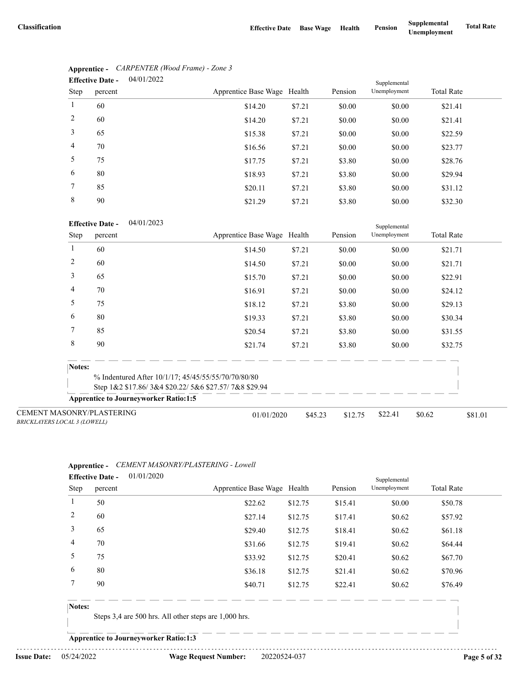|                | 04/01/2022<br><b>Effective Date -</b> |                             |        |         |              |                   |
|----------------|---------------------------------------|-----------------------------|--------|---------|--------------|-------------------|
| Step           | percent                               | Apprentice Base Wage Health |        | Pension | Unemployment | <b>Total Rate</b> |
| 1              | 60                                    | \$14.20                     | \$7.21 | \$0.00  | \$0.00       | \$21.41           |
| 2              | 60                                    | \$14.20                     | \$7.21 | \$0.00  | \$0.00       | \$21.41           |
| 3              | 65                                    | \$15.38                     | \$7.21 | \$0.00  | \$0.00       | \$22.59           |
| $\overline{4}$ | 70                                    | \$16.56                     | \$7.21 | \$0.00  | \$0.00       | \$23.77           |
| 5              | 75                                    | \$17.75                     | \$7.21 | \$3.80  | \$0.00       | \$28.76           |
| 6              | 80                                    | \$18.93                     | \$7.21 | \$3.80  | \$0.00       | \$29.94           |
| 7              | 85                                    | \$20.11                     | \$7.21 | \$3.80  | \$0.00       | \$31.12           |
| 8              | 90                                    | \$21.29                     | \$7.21 | \$3.80  | \$0.00       | \$32.30           |

# **Apprentice -** *CARPENTER (Wood Frame) - Zone 3*

#### 04/01/2023 **Effective Date -**

|                                                                         | <b>Effective Date -</b><br>04/01/2023        |                                                      |         |         | Supplemental |                   |         |
|-------------------------------------------------------------------------|----------------------------------------------|------------------------------------------------------|---------|---------|--------------|-------------------|---------|
| Step                                                                    | percent                                      | Apprentice Base Wage Health                          |         | Pension | Unemployment | <b>Total Rate</b> |         |
|                                                                         | 60                                           | \$14.50                                              | \$7.21  | \$0.00  | \$0.00       | \$21.71           |         |
| 2                                                                       | 60                                           | \$14.50                                              | \$7.21  | \$0.00  | \$0.00       | \$21.71           |         |
| 3                                                                       | 65                                           | \$15.70                                              | \$7.21  | \$0.00  | \$0.00       | \$22.91           |         |
| 4                                                                       | 70                                           | \$16.91                                              | \$7.21  | \$0.00  | \$0.00       | \$24.12           |         |
| 5                                                                       | 75                                           | \$18.12                                              | \$7.21  | \$3.80  | \$0.00       | \$29.13           |         |
| 6                                                                       | 80                                           | \$19.33                                              | \$7.21  | \$3.80  | \$0.00       | \$30.34           |         |
| 7                                                                       | 85                                           | \$20.54                                              | \$7.21  | \$3.80  | \$0.00       | \$31.55           |         |
| 8                                                                       | 90                                           | \$21.74                                              | \$7.21  | \$3.80  | \$0.00       | \$32.75           |         |
| Notes:                                                                  |                                              |                                                      |         |         |              |                   |         |
|                                                                         |                                              | % Indentured After 10/1/17; 45/45/55/55/70/70/80/80  |         |         |              |                   |         |
|                                                                         |                                              | Step 1&2 \$17.86/3&4 \$20.22/5&6 \$27.57/7&8 \$29.94 |         |         |              |                   |         |
|                                                                         | <b>Apprentice to Journeyworker Ratio:1:5</b> |                                                      |         |         |              |                   |         |
| <b>CEMENT MASONRY/PLASTERING</b><br><b>BRICKLAYERS LOCAL 3 (LOWELL)</b> |                                              | 01/01/2020                                           | \$45.23 | \$12.75 | \$22.41      | \$0.62            | \$81.01 |

### **Apprentice -** *CEMENT MASONRY/PLASTERING - Lowell*

|                | <b>Effective Date -</b> | 01/01/2020 |                             |         |         | Supplemental |                   |  |
|----------------|-------------------------|------------|-----------------------------|---------|---------|--------------|-------------------|--|
| Step           | percent                 |            | Apprentice Base Wage Health |         | Pension | Unemployment | <b>Total Rate</b> |  |
|                | 50                      |            | \$22.62                     | \$12.75 | \$15.41 | \$0.00       | \$50.78           |  |
| 2              | 60                      |            | \$27.14                     | \$12.75 | \$17.41 | \$0.62       | \$57.92           |  |
| 3              | 65                      |            | \$29.40                     | \$12.75 | \$18.41 | \$0.62       | \$61.18           |  |
| $\overline{4}$ | 70                      |            | \$31.66                     | \$12.75 | \$19.41 | \$0.62       | \$64.44           |  |
| 5              | 75                      |            | \$33.92                     | \$12.75 | \$20.41 | \$0.62       | \$67.70           |  |
| 6              | 80                      |            | \$36.18                     | \$12.75 | \$21.41 | \$0.62       | \$70.96           |  |
|                | 90                      |            | \$40.71                     | \$12.75 | \$22.41 | \$0.62       | \$76.49           |  |
|                |                         |            |                             |         |         |              |                   |  |

#### **Notes:**

Steps 3,4 are 500 hrs. All other steps are 1,000 hrs.

**Apprentice to Journeyworker Ratio:1:3**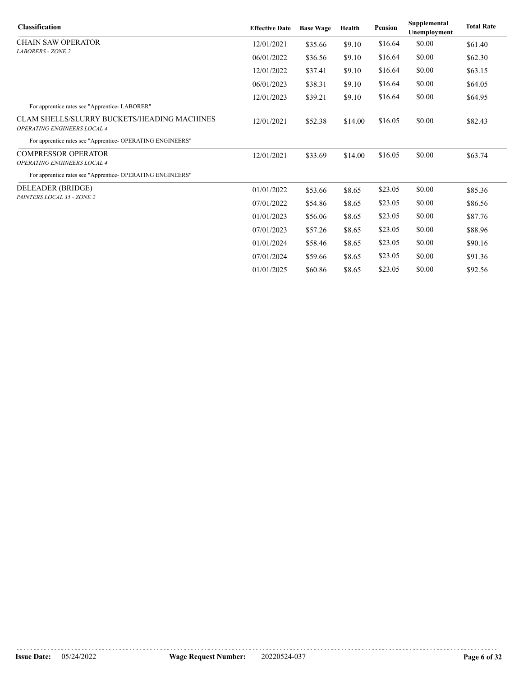| <b>Classification</b>                                                             | <b>Effective Date</b> | <b>Base Wage</b> | Health  | <b>Pension</b> | Supplemental<br>Unemployment | <b>Total Rate</b> |
|-----------------------------------------------------------------------------------|-----------------------|------------------|---------|----------------|------------------------------|-------------------|
| <b>CHAIN SAW OPERATOR</b>                                                         | 12/01/2021            | \$35.66          | \$9.10  | \$16.64        | \$0.00                       | \$61.40           |
| <b>LABORERS - ZONE 2</b>                                                          | 06/01/2022            | \$36.56          | \$9.10  | \$16.64        | \$0.00                       | \$62.30           |
|                                                                                   | 12/01/2022            | \$37.41          | \$9.10  | \$16.64        | \$0.00                       | \$63.15           |
|                                                                                   | 06/01/2023            | \$38.31          | \$9.10  | \$16.64        | \$0.00                       | \$64.05           |
|                                                                                   | 12/01/2023            | \$39.21          | \$9.10  | \$16.64        | \$0.00                       | \$64.95           |
| For apprentice rates see "Apprentice-LABORER"                                     |                       |                  |         |                |                              |                   |
| <b>CLAM SHELLS/SLURRY BUCKETS/HEADING MACHINES</b><br>OPERATING ENGINEERS LOCAL 4 | 12/01/2021            | \$52.38          | \$14.00 | \$16.05        | \$0.00                       | \$82.43           |
| For apprentice rates see "Apprentice- OPERATING ENGINEERS"                        |                       |                  |         |                |                              |                   |
| <b>COMPRESSOR OPERATOR</b>                                                        | 12/01/2021            | \$33.69          | \$14.00 | \$16.05        | \$0.00                       | \$63.74           |
| OPERATING ENGINEERS LOCAL 4                                                       |                       |                  |         |                |                              |                   |
| For apprentice rates see "Apprentice- OPERATING ENGINEERS"                        |                       |                  |         |                |                              |                   |
| DELEADER (BRIDGE)                                                                 | 01/01/2022            | \$53.66          | \$8.65  | \$23.05        | \$0.00                       | \$85.36           |
| PAINTERS LOCAL 35 - ZONE 2                                                        | 07/01/2022            | \$54.86          | \$8.65  | \$23.05        | \$0.00                       | \$86.56           |
|                                                                                   | 01/01/2023            | \$56.06          | \$8.65  | \$23.05        | \$0.00                       | \$87.76           |
|                                                                                   | 07/01/2023            | \$57.26          | \$8.65  | \$23.05        | \$0.00                       | \$88.96           |
|                                                                                   | 01/01/2024            | \$58.46          | \$8.65  | \$23.05        | \$0.00                       | \$90.16           |
|                                                                                   | 07/01/2024            | \$59.66          | \$8.65  | \$23.05        | \$0.00                       | \$91.36           |
|                                                                                   | 01/01/2025            | \$60.86          | \$8.65  | \$23.05        | \$0.00                       | \$92.56           |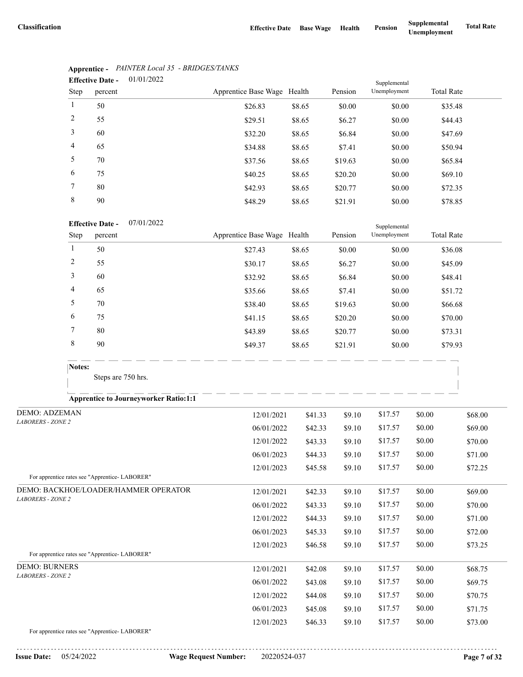|                | 01/01/2022<br><b>Effective Date -</b> |                             |        |         | Supplemental |                   |
|----------------|---------------------------------------|-----------------------------|--------|---------|--------------|-------------------|
| Step           | percent                               | Apprentice Base Wage Health |        | Pension | Unemployment | <b>Total Rate</b> |
| 1              | 50                                    | \$26.83                     | \$8.65 | \$0.00  | \$0.00       | \$35.48           |
| 2              | 55                                    | \$29.51                     | \$8.65 | \$6.27  | \$0.00       | \$44.43           |
| 3              | 60                                    | \$32.20                     | \$8.65 | \$6.84  | \$0.00       | \$47.69           |
| $\overline{4}$ | 65                                    | \$34.88                     | \$8.65 | \$7.41  | \$0.00       | \$50.94           |
| 5              | 70                                    | \$37.56                     | \$8.65 | \$19.63 | \$0.00       | \$65.84           |
| 6              | 75                                    | \$40.25                     | \$8.65 | \$20.20 | \$0.00       | \$69.10           |
| $\tau$         | 80                                    | \$42.93                     | \$8.65 | \$20.77 | \$0.00       | \$72.35           |
| 8              | 90                                    | \$48.29                     | \$8.65 | \$21.91 | \$0.00       | \$78.85           |

# **Apprentice -** *PAINTER Local 35 - BRIDGES/TANKS*

#### 07/01/2022 **Effective Date -**

| <b>Effective Date -</b> |         | 0//01/2022 |                             |        |         | Supplemental |                   |
|-------------------------|---------|------------|-----------------------------|--------|---------|--------------|-------------------|
| Step                    | percent |            | Apprentice Base Wage Health |        | Pension | Unemployment | <b>Total Rate</b> |
|                         | 50      |            | \$27.43                     | \$8.65 | \$0.00  | \$0.00       | \$36.08           |
| 2                       | 55      |            | \$30.17                     | \$8.65 | \$6.27  | \$0.00       | \$45.09           |
| 3                       | 60      |            | \$32.92                     | \$8.65 | \$6.84  | \$0.00       | \$48.41           |
| 4                       | 65      |            | \$35.66                     | \$8.65 | \$7.41  | \$0.00       | \$51.72           |
| 5                       | 70      |            | \$38.40                     | \$8.65 | \$19.63 | \$0.00       | \$66.68           |
| 6                       | 75      |            | \$41.15                     | \$8.65 | \$20.20 | \$0.00       | \$70.00           |
|                         | 80      |            | \$43.89                     | \$8.65 | \$20.77 | \$0.00       | \$73.31           |
| 8                       | 90      |            | \$49.37                     | \$8.65 | \$21.91 | \$0.00       | \$79.93           |

Steps are 750 hrs.

### **Apprentice to Journeyworker Ratio:1:1**

| <b>DEMO: ADZEMAN</b>                          | 12/01/2021 | \$41.33 | \$9.10 | \$17.57 | \$0.00 | \$68.00 |
|-----------------------------------------------|------------|---------|--------|---------|--------|---------|
| <b>LABORERS - ZONE 2</b>                      | 06/01/2022 | \$42.33 | \$9.10 | \$17.57 | \$0.00 | \$69.00 |
|                                               | 12/01/2022 | \$43.33 | \$9.10 | \$17.57 | \$0.00 | \$70.00 |
|                                               | 06/01/2023 | \$44.33 | \$9.10 | \$17.57 | \$0.00 | \$71.00 |
|                                               | 12/01/2023 | \$45.58 | \$9.10 | \$17.57 | \$0.00 | \$72.25 |
| For apprentice rates see "Apprentice-LABORER" |            |         |        |         |        |         |
| DEMO: BACKHOE/LOADER/HAMMER OPERATOR          | 12/01/2021 | \$42.33 | \$9.10 | \$17.57 | \$0.00 | \$69.00 |
| <b>LABORERS - ZONE 2</b>                      | 06/01/2022 | \$43.33 | \$9.10 | \$17.57 | \$0.00 | \$70.00 |
|                                               | 12/01/2022 | \$44.33 | \$9.10 | \$17.57 | \$0.00 | \$71.00 |
|                                               | 06/01/2023 | \$45.33 | \$9.10 | \$17.57 | \$0.00 | \$72.00 |
|                                               | 12/01/2023 | \$46.58 | \$9.10 | \$17.57 | \$0.00 | \$73.25 |
| For apprentice rates see "Apprentice-LABORER" |            |         |        |         |        |         |
| <b>DEMO: BURNERS</b>                          | 12/01/2021 | \$42.08 | \$9.10 | \$17.57 | \$0.00 | \$68.75 |
| <b>LABORERS - ZONE 2</b>                      | 06/01/2022 | \$43.08 | \$9.10 | \$17.57 | \$0.00 | \$69.75 |
|                                               | 12/01/2022 | \$44.08 | \$9.10 | \$17.57 | \$0.00 | \$70.75 |
|                                               | 06/01/2023 | \$45.08 | \$9.10 | \$17.57 | \$0.00 | \$71.75 |
|                                               | 12/01/2023 | \$46.33 | \$9.10 | \$17.57 | \$0.00 | \$73.00 |
|                                               |            |         |        |         |        |         |

For apprentice rates see "Apprentice- LABORER"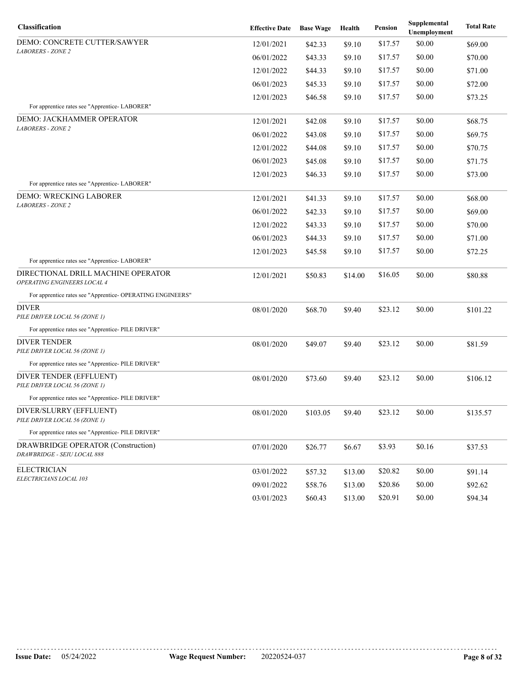| Classification                                                    | <b>Effective Date</b> | <b>Base Wage</b> | Health  | Pension | Supplemental<br>Unemployment | <b>Total Rate</b> |
|-------------------------------------------------------------------|-----------------------|------------------|---------|---------|------------------------------|-------------------|
| DEMO: CONCRETE CUTTER/SAWYER                                      | 12/01/2021            | \$42.33          | \$9.10  | \$17.57 | \$0.00                       | \$69.00           |
| <b>LABORERS - ZONE 2</b>                                          | 06/01/2022            | \$43.33          | \$9.10  | \$17.57 | \$0.00                       | \$70.00           |
|                                                                   | 12/01/2022            | \$44.33          | \$9.10  | \$17.57 | \$0.00                       | \$71.00           |
|                                                                   | 06/01/2023            | \$45.33          | \$9.10  | \$17.57 | \$0.00                       | \$72.00           |
|                                                                   | 12/01/2023            | \$46.58          | \$9.10  | \$17.57 | \$0.00                       | \$73.25           |
| For apprentice rates see "Apprentice- LABORER"                    |                       |                  |         |         |                              |                   |
| DEMO: JACKHAMMER OPERATOR<br><b>LABORERS - ZONE 2</b>             | 12/01/2021            | \$42.08          | \$9.10  | \$17.57 | \$0.00                       | \$68.75           |
|                                                                   | 06/01/2022            | \$43.08          | \$9.10  | \$17.57 | \$0.00                       | \$69.75           |
|                                                                   | 12/01/2022            | \$44.08          | \$9.10  | \$17.57 | \$0.00                       | \$70.75           |
|                                                                   | 06/01/2023            | \$45.08          | \$9.10  | \$17.57 | \$0.00                       | \$71.75           |
|                                                                   | 12/01/2023            | \$46.33          | \$9.10  | \$17.57 | \$0.00                       | \$73.00           |
| For apprentice rates see "Apprentice- LABORER"                    |                       |                  |         |         |                              |                   |
| DEMO: WRECKING LABORER<br><b>LABORERS - ZONE 2</b>                | 12/01/2021            | \$41.33          | \$9.10  | \$17.57 | \$0.00                       | \$68.00           |
|                                                                   | 06/01/2022            | \$42.33          | \$9.10  | \$17.57 | \$0.00                       | \$69.00           |
|                                                                   | 12/01/2022            | \$43.33          | \$9.10  | \$17.57 | \$0.00                       | \$70.00           |
|                                                                   | 06/01/2023            | \$44.33          | \$9.10  | \$17.57 | \$0.00                       | \$71.00           |
|                                                                   | 12/01/2023            | \$45.58          | \$9.10  | \$17.57 | \$0.00                       | \$72.25           |
| For apprentice rates see "Apprentice-LABORER"                     |                       |                  |         |         |                              |                   |
| DIRECTIONAL DRILL MACHINE OPERATOR<br>OPERATING ENGINEERS LOCAL 4 | 12/01/2021            | \$50.83          | \$14.00 | \$16.05 | \$0.00                       | \$80.88           |
| For apprentice rates see "Apprentice- OPERATING ENGINEERS"        |                       |                  |         |         |                              |                   |
| <b>DIVER</b><br>PILE DRIVER LOCAL 56 (ZONE 1)                     | 08/01/2020            | \$68.70          | \$9.40  | \$23.12 | \$0.00                       | \$101.22          |
| For apprentice rates see "Apprentice- PILE DRIVER"                |                       |                  |         |         |                              |                   |
| <b>DIVER TENDER</b>                                               | 08/01/2020            | \$49.07          | \$9.40  | \$23.12 | \$0.00                       | \$81.59           |
| PILE DRIVER LOCAL 56 (ZONE 1)                                     |                       |                  |         |         |                              |                   |
| For apprentice rates see "Apprentice- PILE DRIVER"                |                       |                  |         |         |                              |                   |
| DIVER TENDER (EFFLUENT)<br>PILE DRIVER LOCAL 56 (ZONE 1)          | 08/01/2020            | \$73.60          | \$9.40  | \$23.12 | \$0.00                       | \$106.12          |
| For apprentice rates see "Apprentice- PILE DRIVER"                |                       |                  |         |         |                              |                   |
| DIVER/SLURRY (EFFLUENT)<br>PILE DRIVER LOCAL 56 (ZONE 1)          | 08/01/2020            | \$103.05         | \$9.40  | \$23.12 | \$0.00                       | \$135.57          |
| For apprentice rates see "Apprentice- PILE DRIVER"                |                       |                  |         |         |                              |                   |
| DRAWBRIDGE OPERATOR (Construction)<br>DRAWBRIDGE - SEIU LOCAL 888 | 07/01/2020            | \$26.77          | \$6.67  | \$3.93  | \$0.16                       | \$37.53           |
| <b>ELECTRICIAN</b>                                                | 03/01/2022            | \$57.32          | \$13.00 | \$20.82 | \$0.00                       | \$91.14           |
| ELECTRICIANS LOCAL 103                                            | 09/01/2022            | \$58.76          | \$13.00 | \$20.86 | \$0.00                       | \$92.62           |
|                                                                   | 03/01/2023            | \$60.43          | \$13.00 | \$20.91 | \$0.00                       | \$94.34           |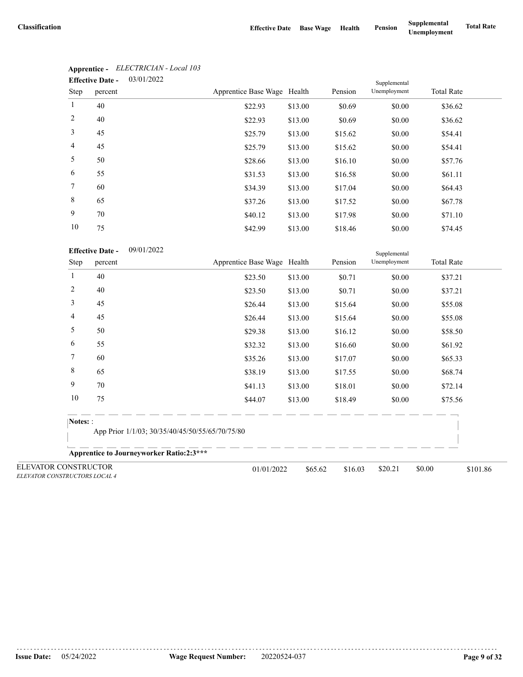|                 | <b>Effective Date -</b> | 03/01/2022 |                             | Supplemental |         |              |                   |  |
|-----------------|-------------------------|------------|-----------------------------|--------------|---------|--------------|-------------------|--|
| Step            | percent                 |            | Apprentice Base Wage Health |              | Pension | Unemployment | <b>Total Rate</b> |  |
| $\mathbf{1}$    | 40                      |            | \$22.93                     | \$13.00      | \$0.69  | \$0.00       | \$36.62           |  |
| 2               | 40                      |            | \$22.93                     | \$13.00      | \$0.69  | \$0.00       | \$36.62           |  |
| 3               | 45                      |            | \$25.79                     | \$13.00      | \$15.62 | \$0.00       | \$54.41           |  |
| $\overline{4}$  | 45                      |            | \$25.79                     | \$13.00      | \$15.62 | \$0.00       | \$54.41           |  |
| 5               | 50                      |            | \$28.66                     | \$13.00      | \$16.10 | \$0.00       | \$57.76           |  |
| 6               | 55                      |            | \$31.53                     | \$13.00      | \$16.58 | \$0.00       | \$61.11           |  |
| $7\phantom{.0}$ | 60                      |            | \$34.39                     | \$13.00      | \$17.04 | \$0.00       | \$64.43           |  |
| 8               | 65                      |            | \$37.26                     | \$13.00      | \$17.52 | \$0.00       | \$67.78           |  |
| 9               | 70                      |            | \$40.12                     | \$13.00      | \$17.98 | \$0.00       | \$71.10           |  |
| 10              | 75                      |            | \$42.99                     | \$13.00      | \$18.46 | \$0.00       | \$74.45           |  |

# **Apprentice -** *ELECTRICIAN - Local 103*

| <b>Effective Date -</b> | 09/01/2022 |
|-------------------------|------------|
|-------------------------|------------|

|                                                       | <b>Effective Date -</b><br>09/01/2022           |                                                 |         |         | Supplemental |                    |
|-------------------------------------------------------|-------------------------------------------------|-------------------------------------------------|---------|---------|--------------|--------------------|
| Step                                                  | percent                                         | Apprentice Base Wage Health                     |         | Pension | Unemployment | <b>Total Rate</b>  |
| 1                                                     | 40                                              | \$23.50                                         | \$13.00 | \$0.71  | \$0.00       | \$37.21            |
| $\overline{c}$                                        | 40                                              | \$23.50                                         | \$13.00 | \$0.71  | \$0.00       | \$37.21            |
| 3                                                     | 45                                              | \$26.44                                         | \$13.00 | \$15.64 | \$0.00       | \$55.08            |
| 4                                                     | 45                                              | \$26.44                                         | \$13.00 | \$15.64 | \$0.00       | \$55.08            |
| 5                                                     | 50                                              | \$29.38                                         | \$13.00 | \$16.12 | \$0.00       | \$58.50            |
| 6                                                     | 55                                              | \$32.32                                         | \$13.00 | \$16.60 | \$0.00       | \$61.92            |
| 7                                                     | 60                                              | \$35.26                                         | \$13.00 | \$17.07 | \$0.00       | \$65.33            |
| 8                                                     | 65                                              | \$38.19                                         | \$13.00 | \$17.55 | \$0.00       | \$68.74            |
| 9                                                     | 70                                              | \$41.13                                         | \$13.00 | \$18.01 | \$0.00       | \$72.14            |
| 10                                                    | 75                                              | \$44.07                                         | \$13.00 | \$18.49 | \$0.00       | \$75.56            |
| Notes: :                                              |                                                 |                                                 |         |         |              |                    |
|                                                       |                                                 | App Prior 1/1/03; 30/35/40/45/50/55/65/70/75/80 |         |         |              |                    |
|                                                       | <b>Apprentice to Journeyworker Ratio:2:3***</b> |                                                 |         |         |              |                    |
| ELEVATOR CONSTRUCTOR<br>ELEVATOR CONSTRUCTORS LOCAL 4 |                                                 | 01/01/2022                                      | \$65.62 | \$16.03 | \$20.21      | \$0.00<br>\$101.86 |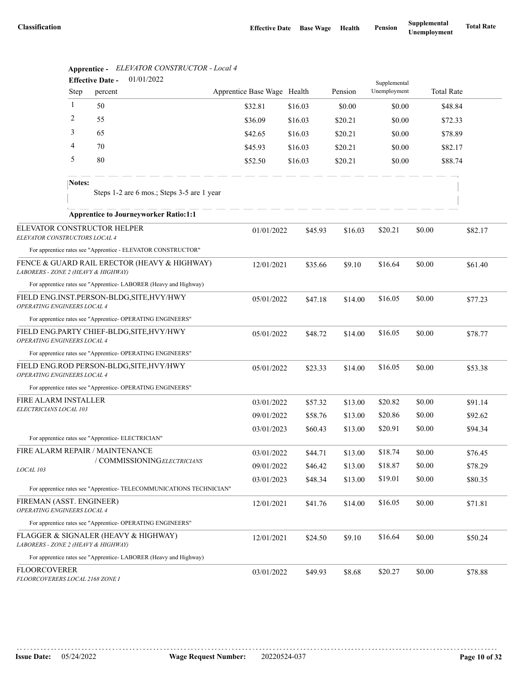|                                                                                     |              | <b>Effective Date -</b>                            | 01/01/2022                                                           |                             |                    |         | Supplemental |        |                   |
|-------------------------------------------------------------------------------------|--------------|----------------------------------------------------|----------------------------------------------------------------------|-----------------------------|--------------------|---------|--------------|--------|-------------------|
|                                                                                     | Step         | percent                                            |                                                                      | Apprentice Base Wage Health |                    | Pension | Unemployment |        | <b>Total Rate</b> |
|                                                                                     | $\mathbf{1}$ | 50                                                 |                                                                      | \$32.81                     | \$16.03            | \$0.00  | \$0.00       |        | \$48.84           |
|                                                                                     | 2            | 55                                                 |                                                                      | \$36.09                     | \$16.03            | \$20.21 | \$0.00       |        | \$72.33           |
|                                                                                     | 3            | 65                                                 |                                                                      | \$42.65                     | \$16.03            | \$20.21 | \$0.00       |        | \$78.89           |
|                                                                                     | 4            | 70                                                 |                                                                      | \$45.93                     | \$16.03            | \$20.21 | \$0.00       |        | \$82.17           |
|                                                                                     | 5            | 80                                                 |                                                                      | \$52.50                     | \$16.03<br>\$20.21 |         | \$0.00       |        | \$88.74           |
|                                                                                     | Notes:       |                                                    | Steps 1-2 are 6 mos.; Steps 3-5 are 1 year                           |                             |                    |         |              |        |                   |
|                                                                                     |              |                                                    | <b>Apprentice to Journeyworker Ratio:1:1</b>                         |                             |                    |         |              |        |                   |
| ELEVATOR CONSTRUCTOR HELPER                                                         |              |                                                    |                                                                      | 01/01/2022                  |                    |         | \$20.21      | \$0.00 |                   |
| ELEVATOR CONSTRUCTORS LOCAL 4                                                       |              |                                                    |                                                                      |                             | \$45.93            | \$16.03 |              |        | \$82.17           |
|                                                                                     |              |                                                    | For apprentice rates see "Apprentice - ELEVATOR CONSTRUCTOR"         |                             |                    |         |              |        |                   |
| FENCE & GUARD RAIL ERECTOR (HEAVY & HIGHWAY)<br>LABORERS - ZONE 2 (HEAVY & HIGHWAY) |              |                                                    |                                                                      | 12/01/2021                  | \$35.66            | \$9.10  | \$16.64      | \$0.00 | \$61.40           |
|                                                                                     |              |                                                    | For apprentice rates see "Apprentice-LABORER (Heavy and Highway)     |                             |                    |         |              |        |                   |
| FIELD ENG.INST.PERSON-BLDG, SITE, HVY/HWY<br>OPERATING ENGINEERS LOCAL 4            |              |                                                    |                                                                      | 05/01/2022                  | \$47.18            | \$14.00 | \$16.05      | \$0.00 | \$77.23           |
|                                                                                     |              |                                                    | For apprentice rates see "Apprentice- OPERATING ENGINEERS"           |                             |                    |         |              |        |                   |
| FIELD ENG.PARTY CHIEF-BLDG, SITE, HVY/HWY<br><b>OPERATING ENGINEERS LOCAL 4</b>     |              |                                                    |                                                                      | 05/01/2022                  | \$48.72            | \$14.00 | \$16.05      | \$0.00 | \$78.77           |
|                                                                                     |              |                                                    | For apprentice rates see "Apprentice- OPERATING ENGINEERS"           |                             |                    |         |              |        |                   |
| FIELD ENG.ROD PERSON-BLDG, SITE, HVY/HWY<br>OPERATING ENGINEERS LOCAL 4             |              |                                                    |                                                                      | 05/01/2022                  | \$23.33            | \$14.00 | \$16.05      | \$0.00 | \$53.38           |
|                                                                                     |              |                                                    | For apprentice rates see "Apprentice- OPERATING ENGINEERS"           |                             |                    |         |              |        |                   |
| FIRE ALARM INSTALLER                                                                |              |                                                    |                                                                      | 03/01/2022                  | \$57.32            | \$13.00 | \$20.82      | \$0.00 | \$91.14           |
| ELECTRICIANS LOCAL 103                                                              |              |                                                    |                                                                      | 09/01/2022                  | \$58.76            | \$13.00 | \$20.86      | \$0.00 | \$92.62           |
|                                                                                     |              | For apprentice rates see "Apprentice- ELECTRICIAN" |                                                                      | 03/01/2023                  | \$60.43            | \$13.00 | \$20.91      | \$0.00 | \$94.34           |
| FIRE ALARM REPAIR / MAINTENANCE                                                     |              |                                                    |                                                                      | 03/01/2022                  | \$44.71            | \$13.00 | \$18.74      | \$0.00 | \$76.45           |
|                                                                                     |              |                                                    | / COMMISSIONINGELECTRICIANS                                          | 09/01/2022                  | \$46.42            | \$13.00 | \$18.87      | \$0.00 | \$78.29           |
| LOCAL 103                                                                           |              |                                                    |                                                                      | 03/01/2023                  | \$48.34            | \$13.00 | \$19.01      | \$0.00 | \$80.35           |
|                                                                                     |              |                                                    | For apprentice rates see "Apprentice- TELECOMMUNICATIONS TECHNICIAN" |                             |                    |         |              |        |                   |
| FIREMAN (ASST. ENGINEER)<br>OPERATING ENGINEERS LOCAL 4                             |              |                                                    |                                                                      | 12/01/2021                  | \$41.76            | \$14.00 | \$16.05      | \$0.00 | \$71.81           |
|                                                                                     |              |                                                    | For apprentice rates see "Apprentice- OPERATING ENGINEERS"           |                             |                    |         |              |        |                   |
| FLAGGER & SIGNALER (HEAVY & HIGHWAY)<br>LABORERS - ZONE 2 (HEAVY & HIGHWAY)         |              |                                                    |                                                                      | 12/01/2021                  | \$24.50            | \$9.10  | \$16.64      | \$0.00 | \$50.24           |
|                                                                                     |              |                                                    | For apprentice rates see "Apprentice-LABORER (Heavy and Highway)     |                             |                    |         |              |        |                   |
| <b>FLOORCOVERER</b><br>FLOORCOVERERS LOCAL 2168 ZONE I                              |              |                                                    |                                                                      | 03/01/2022                  | \$49.93            | \$8.68  | \$20.27      | \$0.00 | \$78.88           |

# **Apprentice -** *ELEVATOR CONSTRUCTOR - Local 4*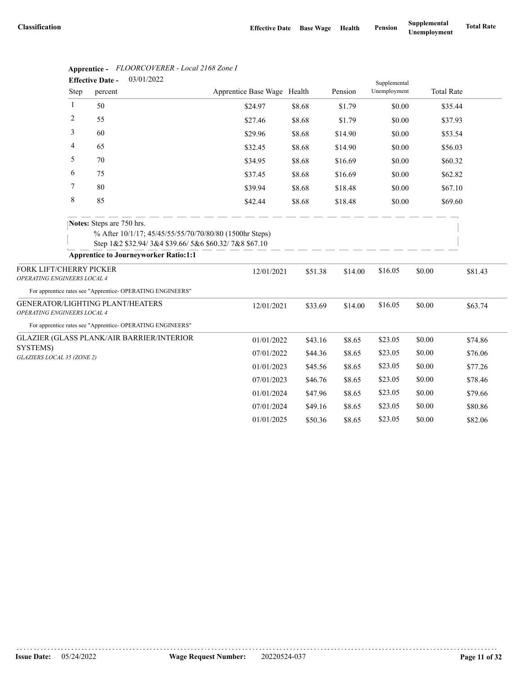|                                                        |      | 03/01/2022<br><b>Effective Date -</b>                                     |                                                                                                                 |        |         |         | Supplemental |        |                   |         |
|--------------------------------------------------------|------|---------------------------------------------------------------------------|-----------------------------------------------------------------------------------------------------------------|--------|---------|---------|--------------|--------|-------------------|---------|
|                                                        | Step | percent                                                                   | Apprentice Base Wage Health                                                                                     |        |         | Pension | Unemployment |        | <b>Total Rate</b> |         |
|                                                        | 1    | 50                                                                        | \$24.97                                                                                                         | \$8.68 |         | \$1.79  | \$0.00       |        | \$35.44           |         |
|                                                        | 2    | 55                                                                        | \$27.46                                                                                                         | \$8.68 |         | \$1.79  | \$0.00       |        | \$37.93           |         |
|                                                        | 3    | 60                                                                        | \$29.96                                                                                                         | \$8.68 |         | \$14.90 | \$0.00       |        | \$53.54           |         |
|                                                        | 4    | 65                                                                        | \$32.45                                                                                                         | \$8.68 |         | \$14.90 | \$0.00       |        | \$56.03           |         |
|                                                        | 5    | 70                                                                        | \$34.95                                                                                                         | \$8.68 |         | \$16.69 | \$0.00       |        | \$60.32           |         |
|                                                        | 6    | 75                                                                        | \$37.45                                                                                                         | \$8.68 |         | \$16.69 | \$0.00       |        | \$62.82           |         |
|                                                        | 7    | 80                                                                        | \$39.94                                                                                                         | \$8.68 |         | \$18.48 | \$0.00       |        | \$67.10           |         |
|                                                        | 8    | 85                                                                        | \$42.44                                                                                                         | \$8.68 |         | \$18.48 | \$0.00       |        | \$69.60           |         |
|                                                        |      | Notes: Steps are 750 hrs.<br><b>Apprentice to Journeyworker Ratio:1:1</b> | % After 10/1/17; 45/45/55/55/70/70/80/80 (1500hr Steps)<br>Step 1&2 \$32.94/3&4 \$39.66/5&6 \$60.32/7&8 \$67.10 |        |         |         |              |        |                   |         |
| FORK LIFT/CHERRY PICKER<br>OPERATING ENGINEERS LOCAL 4 |      |                                                                           | 12/01/2021                                                                                                      |        | \$51.38 | \$14.00 | \$16.05      | \$0.00 |                   | \$81.43 |
|                                                        |      | For apprentice rates see "Apprentice- OPERATING ENGINEERS"                |                                                                                                                 |        |         |         |              |        |                   |         |
| <b>OPERATING ENGINEERS LOCAL 4</b>                     |      | GENERATOR/LIGHTING PLANT/HEATERS                                          | 12/01/2021                                                                                                      |        | \$33.69 | \$14.00 | \$16.05      | \$0.00 |                   | \$63.74 |
|                                                        |      | For apprentice rates see "Apprentice- OPERATING ENGINEERS"                |                                                                                                                 |        |         |         |              |        |                   |         |
|                                                        |      | GLAZIER (GLASS PLANK/AIR BARRIER/INTERIOR                                 | 01/01/2022                                                                                                      |        | \$43.16 | \$8.65  | \$23.05      | \$0.00 |                   | \$74.86 |
| SYSTEMS)<br>GLAZIERS LOCAL 35 (ZONE 2)                 |      |                                                                           | 07/01/2022                                                                                                      |        | \$44.36 | \$8.65  | \$23.05      | \$0.00 |                   | \$76.06 |
|                                                        |      |                                                                           | 01/01/2023                                                                                                      |        | \$45.56 | \$8.65  | \$23.05      | \$0.00 |                   | \$77.26 |
|                                                        |      |                                                                           | 07/01/2023                                                                                                      |        | \$46.76 | \$8.65  | \$23.05      | \$0.00 |                   | \$78.46 |
|                                                        |      |                                                                           | 01/01/2024                                                                                                      |        | \$47.96 | \$8.65  | \$23.05      | \$0.00 |                   | \$79.66 |
|                                                        |      |                                                                           | 07/01/2024                                                                                                      |        | \$49.16 | \$8.65  | \$23.05      | \$0.00 |                   | \$80.86 |
|                                                        |      |                                                                           | 01/01/2025                                                                                                      |        | \$50.36 | \$8.65  | \$23.05      | \$0.00 |                   | \$82.06 |

# **Apprentice -** *FLOORCOVERER - Local 2168 Zone I*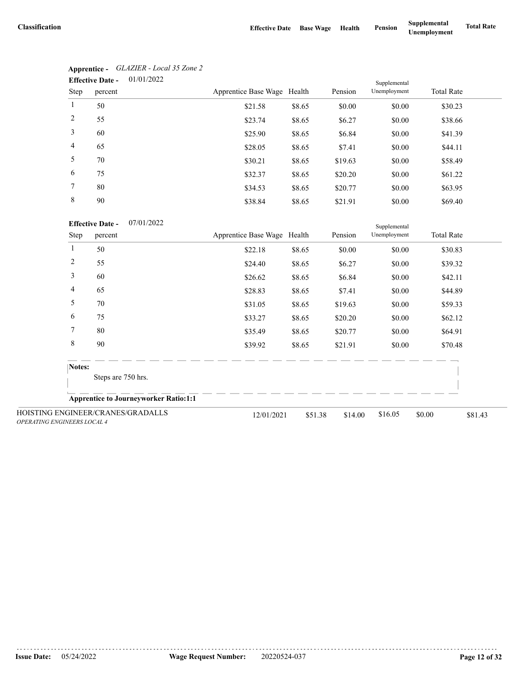| 01/01/2022<br><b>Effective Date -</b><br>Supplemental |         |                             |        |         |              |                   |
|-------------------------------------------------------|---------|-----------------------------|--------|---------|--------------|-------------------|
| Step                                                  | percent | Apprentice Base Wage Health |        | Pension | Unemployment | <b>Total Rate</b> |
| $\mathbf{1}$                                          | 50      | \$21.58                     | \$8.65 | \$0.00  | \$0.00       | \$30.23           |
| 2                                                     | 55      | \$23.74                     | \$8.65 | \$6.27  | \$0.00       | \$38.66           |
| 3                                                     | 60      | \$25.90                     | \$8.65 | \$6.84  | \$0.00       | \$41.39           |
| $\overline{4}$                                        | 65      | \$28.05                     | \$8.65 | \$7.41  | \$0.00       | \$44.11           |
| 5                                                     | 70      | \$30.21                     | \$8.65 | \$19.63 | \$0.00       | \$58.49           |
| 6                                                     | 75      | \$32.37                     | \$8.65 | \$20.20 | \$0.00       | \$61.22           |
| $7\phantom{.0}$                                       | 80      | \$34.53                     | \$8.65 | \$20.77 | \$0.00       | \$63.95           |
| 8                                                     | 90      | \$38.84                     | \$8.65 | \$21.91 | \$0.00       | \$69.40           |

| Apprentice -            | GLAZIER - Local 35 Zone 2 |
|-------------------------|---------------------------|
| <b>Effective Date -</b> | 01/01/2022                |

07/01/2022 **Effective Date -**

|                                    | <b>Effective Date -</b><br>07/01/2022        |  |                             |         |         |              |                   |         |
|------------------------------------|----------------------------------------------|--|-----------------------------|---------|---------|--------------|-------------------|---------|
| Step                               | percent                                      |  | Apprentice Base Wage Health |         | Pension | Unemployment | <b>Total Rate</b> |         |
| 1                                  | 50                                           |  | \$22.18                     | \$8.65  | \$0.00  | \$0.00       | \$30.83           |         |
| 2                                  | 55                                           |  | \$24.40                     | \$8.65  | \$6.27  | \$0.00       | \$39.32           |         |
| 3                                  | 60                                           |  | \$26.62                     | \$8.65  | \$6.84  | \$0.00       | \$42.11           |         |
| 4                                  | 65                                           |  | \$28.83                     | \$8.65  | \$7.41  | \$0.00       | \$44.89           |         |
| 5                                  | 70                                           |  | \$31.05                     | \$8.65  | \$19.63 | \$0.00       | \$59.33           |         |
| 6                                  | 75                                           |  | \$33.27                     | \$8.65  | \$20.20 | \$0.00       | \$62.12           |         |
| 7                                  | 80                                           |  | \$35.49                     | \$8.65  | \$20.77 | \$0.00       | \$64.91           |         |
| 8                                  | 90                                           |  | \$39.92                     | \$8.65  | \$21.91 | \$0.00       | \$70.48           |         |
|                                    | Notes:                                       |  |                             |         |         |              |                   |         |
|                                    | Steps are 750 hrs.                           |  |                             |         |         |              |                   |         |
|                                    | <b>Apprentice to Journeyworker Ratio:1:1</b> |  |                             |         |         |              |                   |         |
| <b>OPERATING ENGINEERS LOCAL 4</b> | HOISTING ENGINEER/CRANES/GRADALLS            |  | 12/01/2021                  | \$51.38 | \$14.00 | \$16.05      | \$0.00            | \$81.43 |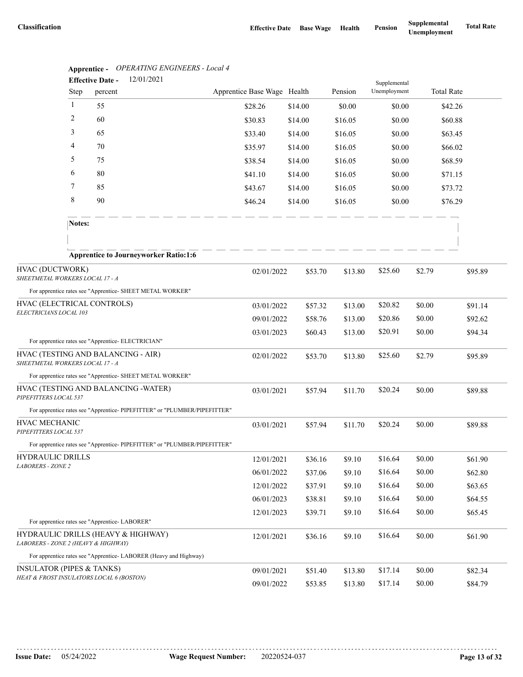|                                                    | Apprenuce -    | $\sigma$ ERATENT ENGINEERS - LOCUL $\tau$<br>12/01/2021<br><b>Effective Date -</b> |                             |         |         |                              |         |                   |
|----------------------------------------------------|----------------|------------------------------------------------------------------------------------|-----------------------------|---------|---------|------------------------------|---------|-------------------|
|                                                    | Step           | percent                                                                            | Apprentice Base Wage Health |         | Pension | Supplemental<br>Unemployment |         | <b>Total Rate</b> |
|                                                    | $\mathbf{1}$   | 55                                                                                 | \$28.26                     | \$14.00 | \$0.00  | \$0.00                       |         | \$42.26           |
|                                                    | $\overline{2}$ | 60                                                                                 | \$30.83                     | \$14.00 | \$16.05 | \$0.00                       |         | \$60.88           |
|                                                    | 3              | 65                                                                                 | \$33.40                     | \$14.00 | \$16.05 | \$0.00                       |         | \$63.45           |
|                                                    | 4              | 70                                                                                 | \$35.97                     | \$14.00 | \$16.05 | \$0.00                       |         | \$66.02           |
|                                                    | 5              | 75                                                                                 | \$38.54                     | \$14.00 | \$16.05 | \$0.00                       |         | \$68.59           |
|                                                    | 6              | 80                                                                                 | \$41.10                     | \$14.00 | \$16.05 | \$0.00                       |         | \$71.15           |
|                                                    | 7              | 85                                                                                 | \$43.67                     | \$14.00 | \$16.05 | \$0.00                       |         | \$73.72           |
|                                                    | 8              | 90                                                                                 | \$46.24                     | \$14.00 | \$16.05 | \$0.00                       |         | \$76.29           |
|                                                    | Notes:         |                                                                                    |                             |         |         |                              |         |                   |
|                                                    |                |                                                                                    |                             |         |         |                              |         |                   |
|                                                    |                | <b>Apprentice to Journeyworker Ratio:1:6</b>                                       |                             |         |         |                              |         |                   |
| HVAC (DUCTWORK)<br>SHEETMETAL WORKERS LOCAL 17 - A |                | 02/01/2022                                                                         | \$53.70                     | \$13.80 | \$25.60 | \$2.79                       | \$95.89 |                   |
|                                                    |                | For apprentice rates see "Apprentice- SHEET METAL WORKER"                          |                             |         |         |                              |         |                   |
| HVAC (ELECTRICAL CONTROLS)                         |                | 03/01/2022                                                                         | \$57.32                     | \$13.00 | \$20.82 | \$0.00                       | \$91.14 |                   |
| ELECTRICIANS LOCAL 103                             |                |                                                                                    | 09/01/2022                  | \$58.76 | \$13.00 | \$20.86                      | \$0.00  | \$92.62           |
|                                                    |                |                                                                                    | 03/01/2023                  | \$60.43 | \$13.00 | \$20.91                      | \$0.00  | \$94.34           |
|                                                    |                | For apprentice rates see "Apprentice- ELECTRICIAN"                                 |                             |         |         |                              |         |                   |
| SHEETMETAL WORKERS LOCAL 17 - A                    |                | HVAC (TESTING AND BALANCING - AIR)                                                 | 02/01/2022                  | \$53.70 | \$13.80 | \$25.60                      | \$2.79  | \$95.89           |
|                                                    |                | For apprentice rates see "Apprentice- SHEET METAL WORKER"                          |                             |         |         |                              |         |                   |
| PIPEFITTERS LOCAL 537                              |                | HVAC (TESTING AND BALANCING - WATER)                                               | 03/01/2021                  | \$57.94 | \$11.70 | \$20.24                      | \$0.00  | \$89.88           |
|                                                    |                | For apprentice rates see "Apprentice-PIPEFITTER" or "PLUMBER/PIPEFITTER"           |                             |         |         |                              |         |                   |
| HVAC MECHANIC<br>PIPEFITTERS LOCAL 537             |                |                                                                                    | 03/01/2021                  | \$57.94 | \$11.70 | \$20.24                      | \$0.00  | \$89.88           |
|                                                    |                | For apprentice rates see "Apprentice-PIPEFITTER" or "PLUMBER/PIPEFITTER"           |                             |         |         |                              |         |                   |
| HYDRAULIC DRILLS                                   |                |                                                                                    | 12/01/2021                  | \$36.16 | \$9.10  | \$16.64                      | \$0.00  | \$61.90           |
| LABORERS - ZONE 2                                  |                |                                                                                    | 06/01/2022                  | \$37.06 | \$9.10  | \$16.64                      | \$0.00  | \$62.80           |
|                                                    |                |                                                                                    | 12/01/2022                  | \$37.91 | \$9.10  | \$16.64                      | \$0.00  | \$63.65           |
|                                                    |                |                                                                                    | 06/01/2023                  | \$38.81 | \$9.10  | \$16.64                      | \$0.00  | \$64.55           |
|                                                    |                |                                                                                    | 12/01/2023                  | \$39.71 | \$9.10  | \$16.64                      | \$0.00  | \$65.45           |
|                                                    |                | For apprentice rates see "Apprentice-LABORER"                                      |                             |         |         |                              |         |                   |
| LABORERS - ZONE 2 (HEAVY & HIGHWAY)                |                | HYDRAULIC DRILLS (HEAVY & HIGHWAY)                                                 | 12/01/2021                  | \$36.16 | \$9.10  | \$16.64                      | \$0.00  | \$61.90           |
|                                                    |                | For apprentice rates see "Apprentice-LABORER (Heavy and Highway)                   |                             |         |         |                              |         |                   |
| <b>INSULATOR (PIPES &amp; TANKS)</b>               |                |                                                                                    | 09/01/2021                  | \$51.40 | \$13.80 | \$17.14                      | \$0.00  | \$82.34           |
|                                                    |                | HEAT & FROST INSULATORS LOCAL 6 (BOSTON)                                           | 09/01/2022                  | \$53.85 | \$13.80 | \$17.14                      | \$0.00  | \$84.79           |

**Apprentice -** *OPERATING ENGINEERS - Local 4*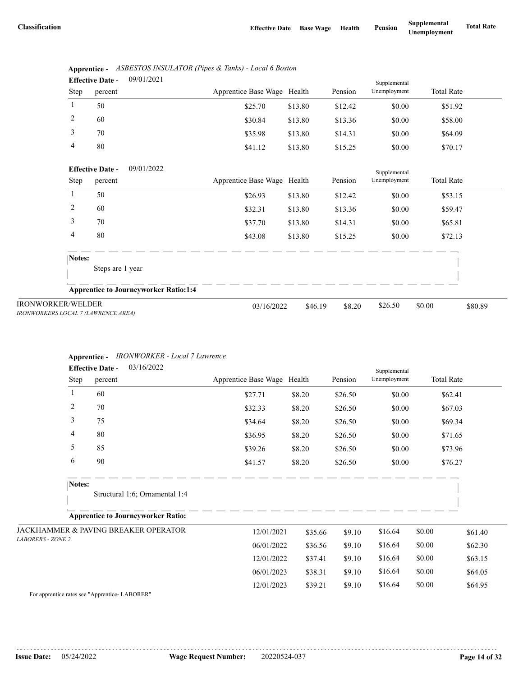|      | <b>Effective Date -</b> | 09/01/2021 |                             |         |         | Supplemental |                   |
|------|-------------------------|------------|-----------------------------|---------|---------|--------------|-------------------|
| Step | percent                 |            | Apprentice Base Wage Health |         | Pension | Unemployment | <b>Total Rate</b> |
|      | 50                      |            | \$25.70                     | \$13.80 | \$12.42 | \$0.00       | \$51.92           |
| 2    | 60                      |            | \$30.84                     | \$13.80 | \$13.36 | \$0.00       | \$58.00           |
| 3    | 70                      |            | \$35.98                     | \$13.80 | \$14.31 | \$0.00       | \$64.09           |
| 4    | 80                      |            | \$41.12                     | \$13.80 | \$15.25 | \$0.00       | \$70.17           |

|      | Apprentice - ASBESTOS INSULATOR (Pipes & Tanks) - Local 6 Boston |
|------|------------------------------------------------------------------|
| $ -$ | 001010001                                                        |

|                                                                 | 09/01/2022<br><b>Effective Date -</b>        |                             |         |         | Supplemental |                   |         |
|-----------------------------------------------------------------|----------------------------------------------|-----------------------------|---------|---------|--------------|-------------------|---------|
| Step                                                            | percent                                      | Apprentice Base Wage Health |         | Pension | Unemployment | <b>Total Rate</b> |         |
|                                                                 | 50                                           | \$26.93                     | \$13.80 | \$12.42 | \$0.00       | \$53.15           |         |
| 2                                                               | 60                                           | \$32.31                     | \$13.80 | \$13.36 | \$0.00       | \$59.47           |         |
| 3                                                               | 70                                           | \$37.70                     | \$13.80 | \$14.31 | \$0.00       | \$65.81           |         |
| 4                                                               | 80                                           | \$43.08                     | \$13.80 | \$15.25 | \$0.00       | \$72.13           |         |
| Notes:                                                          | Steps are 1 year                             |                             |         |         |              |                   |         |
|                                                                 | <b>Apprentice to Journeyworker Ratio:1:4</b> |                             |         |         |              |                   |         |
| <b>IRONWORKER/WELDER</b><br>IRONWORKERS LOCAL 7 (LAWRENCE AREA) |                                              | 03/16/2022                  | \$46.19 | \$8.20  | \$26.50      | \$0.00            | \$80.89 |

### **Apprentice -** *IRONWORKER - Local 7 Lawrence*

|                          |        | 03/16/2022<br><b>Effective Date -</b>           |                             |         |         |                              |                   |         |
|--------------------------|--------|-------------------------------------------------|-----------------------------|---------|---------|------------------------------|-------------------|---------|
|                          | Step   | percent                                         | Apprentice Base Wage Health |         | Pension | Supplemental<br>Unemployment | <b>Total Rate</b> |         |
|                          | 1      | 60                                              | \$27.71                     | \$8.20  | \$26.50 | \$0.00                       |                   | \$62.41 |
|                          | 2      | 70                                              | \$32.33                     | \$8.20  | \$26.50 | \$0.00                       |                   | \$67.03 |
|                          | 3      | 75                                              | \$34.64                     | \$8.20  | \$26.50 | \$0.00                       |                   | \$69.34 |
|                          | 4      | 80                                              | \$36.95                     | \$8.20  | \$26.50 | \$0.00                       |                   | \$71.65 |
|                          | 5      | 85                                              | \$39.26                     | \$8.20  | \$26.50 | \$0.00                       |                   | \$73.96 |
|                          | 6      | 90                                              | \$41.57                     | \$8.20  | \$26.50 | \$0.00                       |                   | \$76.27 |
|                          | Notes: |                                                 |                             |         |         |                              |                   |         |
|                          |        | Structural 1:6; Ornamental 1:4                  |                             |         |         |                              |                   |         |
|                          |        | <b>Apprentice to Journeyworker Ratio:</b>       |                             |         |         |                              |                   |         |
|                          |        | <b>JACKHAMMER &amp; PAVING BREAKER OPERATOR</b> | 12/01/2021                  | \$35.66 | \$9.10  | \$16.64                      | \$0.00            | \$61.40 |
| <b>LABORERS - ZONE 2</b> |        |                                                 | 06/01/2022                  | \$36.56 | \$9.10  | \$16.64                      | \$0.00            | \$62.30 |
|                          |        |                                                 | 12/01/2022                  | \$37.41 | \$9.10  | \$16.64                      | \$0.00            | \$63.15 |
|                          |        |                                                 | 06/01/2023                  | \$38.31 | \$9.10  | \$16.64                      | \$0.00            | \$64.05 |
|                          |        |                                                 | 12/01/2023                  | \$39.21 | \$9.10  | \$16.64                      | \$0.00            | \$64.95 |

For apprentice rates see "Apprentice- LABORER"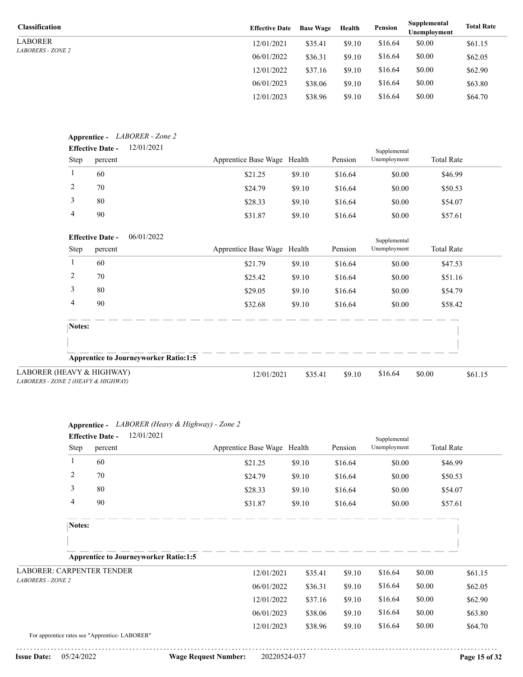LABORER *LABORERS - ZONE 2*

| <b>Classification</b>    | <b>Effective Date</b> | <b>Base Wage</b> | Health | <b>Pension</b> | Supplemental<br>Unemployment | <b>Total Rate</b> |
|--------------------------|-----------------------|------------------|--------|----------------|------------------------------|-------------------|
| LABORER                  | 12/01/2021            | \$35.41          | \$9.10 | \$16.64        | \$0.00                       | \$61.15           |
| <i>LABORERS - ZONE 2</i> | 06/01/2022            | \$36.31          | \$9.10 | \$16.64        | \$0.00                       | \$62.05           |
|                          | 12/01/2022            | \$37.16          | \$9.10 | \$16.64        | \$0.00                       | \$62.90           |
|                          | 06/01/2023            | \$38.06          | \$9.10 | \$16.64        | \$0.00                       | \$63.80           |
|                          | 12/01/2023            | \$38.96          | \$9.10 | \$16.64        | \$0.00                       | \$64.70           |

|        | <b>Effective Date -</b>                  | 12/01/2021                                   |                             |         |         | Supplemental |                   |
|--------|------------------------------------------|----------------------------------------------|-----------------------------|---------|---------|--------------|-------------------|
| Step   | percent                                  |                                              | Apprentice Base Wage Health |         | Pension | Unemployment | <b>Total Rate</b> |
| 1      | 60                                       |                                              | \$21.25                     | \$9.10  | \$16.64 | \$0.00       | \$46.99           |
| 2      | 70                                       |                                              | \$24.79                     | \$9.10  | \$16.64 | \$0.00       | \$50.53           |
| 3      | 80                                       |                                              | \$28.33                     | \$9.10  | \$16.64 | \$0.00       | \$54.07           |
| 4      | 90                                       |                                              | \$31.87                     | \$9.10  | \$16.64 | \$0.00       | \$57.61           |
|        | <b>Effective Date -</b>                  | 06/01/2022                                   |                             |         |         | Supplemental |                   |
| Step   | percent                                  |                                              | Apprentice Base Wage Health |         | Pension | Unemployment | <b>Total Rate</b> |
|        | 60                                       |                                              | \$21.79                     | \$9.10  | \$16.64 | \$0.00       | \$47.53           |
| 2      | 70                                       |                                              | \$25.42                     | \$9.10  | \$16.64 | \$0.00       | \$51.16           |
| 3      | 80                                       |                                              | \$29.05                     | \$9.10  | \$16.64 | \$0.00       | \$54.79           |
| 4      | 90                                       |                                              | \$32.68                     | \$9.10  | \$16.64 | \$0.00       | \$58.42           |
| Notes: |                                          |                                              |                             |         |         |              |                   |
|        |                                          |                                              |                             |         |         |              |                   |
|        |                                          | <b>Apprentice to Journeyworker Ratio:1:5</b> |                             |         |         |              |                   |
|        | EAVY & HIGHWAY)<br>E 2 (HEAVY & HIGHWAY) |                                              | 12/01/2021                  | \$35.41 | \$9.10  | \$16.64      | \$0.00<br>\$61.15 |

| LABORER (HEAVY & HIGHWAY)           |
|-------------------------------------|
| LABORERS - ZONE 2 (HEAVY & HIGHWAY) |

| Apprentice - LABORER (Heavy & Highway) - Zone 2 |                             |         |         |              |                   |         |
|-------------------------------------------------|-----------------------------|---------|---------|--------------|-------------------|---------|
| 12/01/2021<br><b>Effective Date -</b>           |                             |         |         | Supplemental |                   |         |
| Step<br>percent                                 | Apprentice Base Wage Health |         | Pension | Unemployment | <b>Total Rate</b> |         |
| 1<br>60                                         | \$21.25                     | \$9.10  | \$16.64 | \$0.00       | \$46.99           |         |
| 2<br>70                                         | \$24.79                     | \$9.10  | \$16.64 | \$0.00       | \$50.53           |         |
| 3<br>80                                         | \$28.33                     | \$9.10  | \$16.64 | \$0.00       | \$54.07           |         |
| 4<br>90                                         | \$31.87                     | \$9.10  | \$16.64 | \$0.00       | \$57.61           |         |
| Notes:                                          |                             |         |         |              |                   |         |
|                                                 |                             |         |         |              |                   |         |
| <b>Apprentice to Journeyworker Ratio:1:5</b>    |                             |         |         |              |                   |         |
| <b>LABORER: CARPENTER TENDER</b>                | 12/01/2021                  | \$35.41 | \$9.10  | \$16.64      | \$0.00            | \$61.15 |
| <b>LABORERS - ZONE 2</b>                        | 06/01/2022                  | \$36.31 | \$9.10  | \$16.64      | \$0.00            | \$62.05 |
|                                                 | 12/01/2022                  | \$37.16 | \$9.10  | \$16.64      | \$0.00            | \$62.90 |
|                                                 | 06/01/2023                  | \$38.06 | \$9.10  | \$16.64      | \$0.00            | \$63.80 |
|                                                 | 12/01/2023                  | \$38.96 | \$9.10  | \$16.64      | \$0.00            | \$64.70 |
| For apprentice rates see "Apprentice-LABORER"   |                             |         |         |              |                   |         |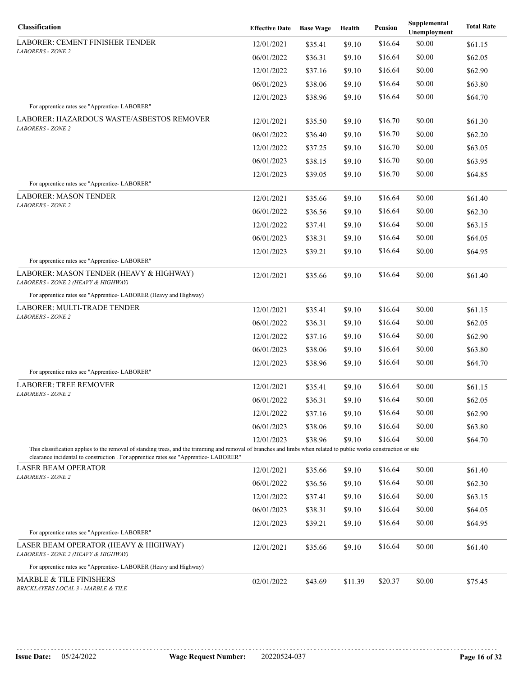| Classification                                                                                                                                                                                                                                             | <b>Effective Date</b> | <b>Base Wage</b> | Health  | Pension | Supplemental<br>Unemployment | <b>Total Rate</b> |
|------------------------------------------------------------------------------------------------------------------------------------------------------------------------------------------------------------------------------------------------------------|-----------------------|------------------|---------|---------|------------------------------|-------------------|
| <b>LABORER: CEMENT FINISHER TENDER</b>                                                                                                                                                                                                                     | 12/01/2021            | \$35.41          | \$9.10  | \$16.64 | \$0.00                       | \$61.15           |
| <b>LABORERS - ZONE 2</b>                                                                                                                                                                                                                                   | 06/01/2022            | \$36.31          | \$9.10  | \$16.64 | \$0.00                       | \$62.05           |
|                                                                                                                                                                                                                                                            | 12/01/2022            | \$37.16          | \$9.10  | \$16.64 | \$0.00                       | \$62.90           |
|                                                                                                                                                                                                                                                            | 06/01/2023            | \$38.06          | \$9.10  | \$16.64 | \$0.00                       | \$63.80           |
|                                                                                                                                                                                                                                                            | 12/01/2023            | \$38.96          | \$9.10  | \$16.64 | \$0.00                       | \$64.70           |
| For apprentice rates see "Apprentice-LABORER"                                                                                                                                                                                                              |                       |                  |         |         |                              |                   |
| LABORER: HAZARDOUS WASTE/ASBESTOS REMOVER<br><b>LABORERS - ZONE 2</b>                                                                                                                                                                                      | 12/01/2021            | \$35.50          | \$9.10  | \$16.70 | \$0.00                       | \$61.30           |
|                                                                                                                                                                                                                                                            | 06/01/2022            | \$36.40          | \$9.10  | \$16.70 | \$0.00                       | \$62.20           |
|                                                                                                                                                                                                                                                            | 12/01/2022            | \$37.25          | \$9.10  | \$16.70 | \$0.00                       | \$63.05           |
|                                                                                                                                                                                                                                                            | 06/01/2023            | \$38.15          | \$9.10  | \$16.70 | \$0.00                       | \$63.95           |
|                                                                                                                                                                                                                                                            | 12/01/2023            | \$39.05          | \$9.10  | \$16.70 | \$0.00                       | \$64.85           |
| For apprentice rates see "Apprentice-LABORER"                                                                                                                                                                                                              |                       |                  |         |         |                              |                   |
| <b>LABORER: MASON TENDER</b><br><b>LABORERS - ZONE 2</b>                                                                                                                                                                                                   | 12/01/2021            | \$35.66          | \$9.10  | \$16.64 | \$0.00                       | \$61.40           |
|                                                                                                                                                                                                                                                            | 06/01/2022            | \$36.56          | \$9.10  | \$16.64 | \$0.00                       | \$62.30           |
|                                                                                                                                                                                                                                                            | 12/01/2022            | \$37.41          | \$9.10  | \$16.64 | \$0.00                       | \$63.15           |
|                                                                                                                                                                                                                                                            | 06/01/2023            | \$38.31          | \$9.10  | \$16.64 | \$0.00                       | \$64.05           |
|                                                                                                                                                                                                                                                            | 12/01/2023            | \$39.21          | \$9.10  | \$16.64 | \$0.00                       | \$64.95           |
| For apprentice rates see "Apprentice-LABORER"<br>LABORER: MASON TENDER (HEAVY & HIGHWAY)<br>LABORERS - ZONE 2 (HEAVY & HIGHWAY)                                                                                                                            | 12/01/2021            | \$35.66          | \$9.10  | \$16.64 | \$0.00                       | \$61.40           |
| For apprentice rates see "Apprentice- LABORER (Heavy and Highway)                                                                                                                                                                                          |                       |                  |         |         |                              |                   |
| LABORER: MULTI-TRADE TENDER                                                                                                                                                                                                                                | 12/01/2021            | \$35.41          | \$9.10  | \$16.64 | \$0.00                       | \$61.15           |
| <b>LABORERS - ZONE 2</b>                                                                                                                                                                                                                                   | 06/01/2022            | \$36.31          | \$9.10  | \$16.64 | \$0.00                       | \$62.05           |
|                                                                                                                                                                                                                                                            | 12/01/2022            | \$37.16          | \$9.10  | \$16.64 | \$0.00                       | \$62.90           |
|                                                                                                                                                                                                                                                            | 06/01/2023            | \$38.06          | \$9.10  | \$16.64 | \$0.00                       | \$63.80           |
|                                                                                                                                                                                                                                                            | 12/01/2023            | \$38.96          | \$9.10  | \$16.64 | \$0.00                       | \$64.70           |
| For apprentice rates see "Apprentice-LABORER"                                                                                                                                                                                                              |                       |                  |         |         |                              |                   |
| <b>LABORER: TREE REMOVER</b>                                                                                                                                                                                                                               | 12/01/2021            | \$35.41          | \$9.10  | \$16.64 | \$0.00                       | \$61.15           |
| <b>LABORERS - ZONE 2</b>                                                                                                                                                                                                                                   | 06/01/2022            | \$36.31          | \$9.10  | \$16.64 | \$0.00                       | \$62.05           |
|                                                                                                                                                                                                                                                            | 12/01/2022            | \$37.16          | \$9.10  | \$16.64 | \$0.00                       | \$62.90           |
|                                                                                                                                                                                                                                                            | 06/01/2023            | \$38.06          | \$9.10  | \$16.64 | \$0.00                       | \$63.80           |
|                                                                                                                                                                                                                                                            | 12/01/2023            | \$38.96          | \$9.10  | \$16.64 | \$0.00                       | \$64.70           |
| This classification applies to the removal of standing trees, and the trimming and removal of branches and limbs when related to public works construction or site<br>clearance incidental to construction . For apprentice rates see "Apprentice-LABORER" |                       |                  |         |         |                              |                   |
| <b>LASER BEAM OPERATOR</b>                                                                                                                                                                                                                                 | 12/01/2021            | \$35.66          | \$9.10  | \$16.64 | \$0.00                       | \$61.40           |
| <b>LABORERS - ZONE 2</b>                                                                                                                                                                                                                                   | 06/01/2022            | \$36.56          | \$9.10  | \$16.64 | \$0.00                       | \$62.30           |
|                                                                                                                                                                                                                                                            | 12/01/2022            | \$37.41          | \$9.10  | \$16.64 | \$0.00                       | \$63.15           |
|                                                                                                                                                                                                                                                            | 06/01/2023            | \$38.31          | \$9.10  | \$16.64 | \$0.00                       | \$64.05           |
|                                                                                                                                                                                                                                                            | 12/01/2023            | \$39.21          | \$9.10  | \$16.64 | \$0.00                       | \$64.95           |
| For apprentice rates see "Apprentice- LABORER"                                                                                                                                                                                                             |                       |                  |         |         |                              |                   |
| LASER BEAM OPERATOR (HEAVY & HIGHWAY)<br>LABORERS - ZONE 2 (HEAVY & HIGHWAY)                                                                                                                                                                               | 12/01/2021            | \$35.66          | \$9.10  | \$16.64 | \$0.00                       | \$61.40           |
| For apprentice rates see "Apprentice- LABORER (Heavy and Highway)                                                                                                                                                                                          |                       |                  |         |         |                              |                   |
| <b>MARBLE &amp; TILE FINISHERS</b><br>BRICKLAYERS LOCAL 3 - MARBLE & TILE                                                                                                                                                                                  | 02/01/2022            | \$43.69          | \$11.39 | \$20.37 | \$0.00                       | \$75.45           |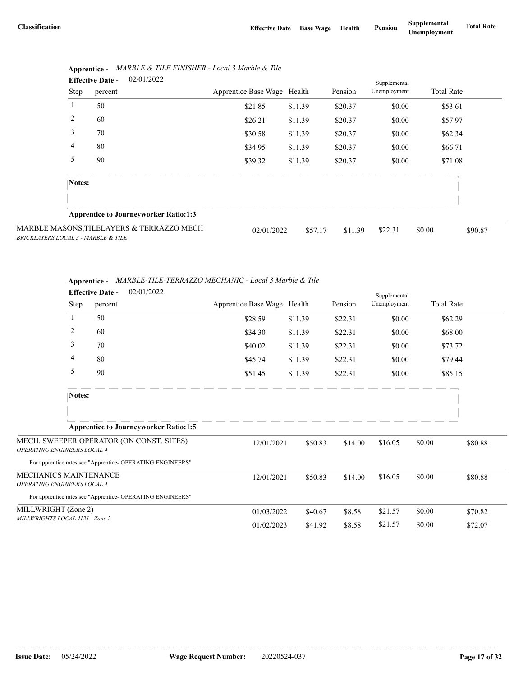| <b>Effective Date -</b>             |        | 02/01/2022 |                                              |                             |         | Supplemental |              |                   |         |
|-------------------------------------|--------|------------|----------------------------------------------|-----------------------------|---------|--------------|--------------|-------------------|---------|
|                                     | Step   | percent    |                                              | Apprentice Base Wage Health |         | Pension      | Unemployment | <b>Total Rate</b> |         |
|                                     |        | 50         |                                              | \$21.85                     | \$11.39 | \$20.37      | \$0.00       | \$53.61           |         |
|                                     | 2      | 60         |                                              | \$26.21                     | \$11.39 | \$20.37      | \$0.00       | \$57.97           |         |
|                                     | 3      | 70         |                                              | \$30.58                     | \$11.39 | \$20.37      | \$0.00       | \$62.34           |         |
|                                     | 4      | 80         |                                              | \$34.95                     | \$11.39 | \$20.37      | \$0.00       | \$66.71           |         |
|                                     | 5      | 90         |                                              | \$39.32                     | \$11.39 | \$20.37      | \$0.00       | \$71.08           |         |
|                                     | Notes: |            |                                              |                             |         |              |              |                   |         |
|                                     |        |            |                                              |                             |         |              |              |                   |         |
|                                     |        |            | <b>Apprentice to Journeyworker Ratio:1:3</b> |                             |         |              |              |                   |         |
| BRICKLAYERS LOCAL 3 - MARBLE & TILE |        |            | MARBLE MASONS, TILELAYERS & TERRAZZO MECH    | 02/01/2022                  | \$57.17 | \$11.39      | \$22.31      | \$0.00            | \$90.87 |

|  | Apprentice - MARBLE & TILE FINISHER - Local 3 Marble & Tile |  |
|--|-------------------------------------------------------------|--|
|--|-------------------------------------------------------------|--|

|                              | Apprentice - MARBLE-TILE-TERRAZZO MECHANIC - Local 3 Marble & Tile |
|------------------------------|--------------------------------------------------------------------|
| $\mathbf{r}$ as $\mathbf{r}$ | 0.2101/2022                                                        |

|                                    | 02/01/2022<br><b>Effective Date -</b>                      |                             |         |         | Supplemental |                   |         |
|------------------------------------|------------------------------------------------------------|-----------------------------|---------|---------|--------------|-------------------|---------|
| Step                               | percent                                                    | Apprentice Base Wage Health |         | Pension | Unemployment | <b>Total Rate</b> |         |
| 1                                  | 50                                                         | \$28.59                     | \$11.39 | \$22.31 | \$0.00       | \$62.29           |         |
| 2                                  | 60                                                         | \$34.30                     | \$11.39 | \$22.31 | \$0.00       | \$68.00           |         |
| 3                                  | 70                                                         | \$40.02                     | \$11.39 | \$22.31 | \$0.00       | \$73.72           |         |
| 4                                  | 80                                                         | \$45.74                     | \$11.39 | \$22.31 | \$0.00       | \$79.44           |         |
| 5                                  | 90                                                         | \$51.45                     | \$11.39 | \$22.31 | \$0.00       | \$85.15           |         |
| Notes:                             |                                                            |                             |         |         |              |                   |         |
|                                    |                                                            |                             |         |         |              |                   |         |
|                                    | <b>Apprentice to Journeyworker Ratio:1:5</b>               |                             |         |         |              |                   |         |
| <b>OPERATING ENGINEERS LOCAL 4</b> | MECH. SWEEPER OPERATOR (ON CONST. SITES)                   | 12/01/2021                  | \$50.83 | \$14.00 | \$16.05      | \$0.00            | \$80.88 |
|                                    | For apprentice rates see "Apprentice- OPERATING ENGINEERS" |                             |         |         |              |                   |         |
| MECHANICS MAINTENANCE              |                                                            | 12/01/2021                  | \$50.83 | \$14.00 | \$16.05      | \$0.00            | \$80.88 |
| OPERATING ENGINEERS LOCAL 4        |                                                            |                             |         |         |              |                   |         |
|                                    | For apprentice rates see "Apprentice-OPERATING ENGINEERS"  |                             |         |         |              |                   |         |
| MILLWRIGHT (Zone 2)                |                                                            | 01/03/2022                  | \$40.67 | \$8.58  | \$21.57      | \$0.00            | \$70.82 |
| MILLWRIGHTS LOCAL 1121 - Zone 2    |                                                            | 01/02/2023                  | \$41.92 | \$8.58  | \$21.57      | \$0.00            | \$72.07 |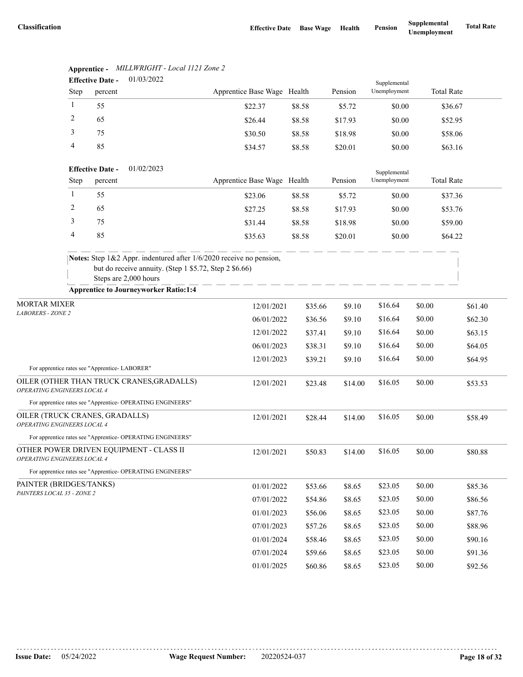|                                                               |              | <b>Effective Date -</b> | 01/03/2022                                                                                                                                             |                             |         |         | Supplemental |                   |         |
|---------------------------------------------------------------|--------------|-------------------------|--------------------------------------------------------------------------------------------------------------------------------------------------------|-----------------------------|---------|---------|--------------|-------------------|---------|
|                                                               | Step         | percent                 |                                                                                                                                                        | Apprentice Base Wage Health |         | Pension | Unemployment | <b>Total Rate</b> |         |
|                                                               | $\mathbf{1}$ | 55                      |                                                                                                                                                        | \$22.37                     | \$8.58  | \$5.72  | \$0.00       | \$36.67           |         |
|                                                               | 2            | 65                      |                                                                                                                                                        | \$26.44                     | \$8.58  | \$17.93 | \$0.00       | \$52.95           |         |
|                                                               | 3            | 75                      |                                                                                                                                                        | \$30.50                     | \$8.58  | \$18.98 | \$0.00       | \$58.06           |         |
|                                                               | 4            | 85                      |                                                                                                                                                        | \$34.57                     | \$8.58  | \$20.01 | \$0.00       | \$63.16           |         |
|                                                               |              | <b>Effective Date -</b> | 01/02/2023                                                                                                                                             |                             |         |         | Supplemental |                   |         |
|                                                               | <b>Step</b>  | percent                 |                                                                                                                                                        | Apprentice Base Wage Health |         | Pension | Unemployment | <b>Total Rate</b> |         |
|                                                               | $\mathbf{1}$ | 55                      |                                                                                                                                                        | \$23.06                     | \$8.58  | \$5.72  | \$0.00       | \$37.36           |         |
|                                                               | 2            | 65                      |                                                                                                                                                        | \$27.25                     | \$8.58  | \$17.93 | \$0.00       | \$53.76           |         |
|                                                               | 3            | 75                      |                                                                                                                                                        | \$31.44                     | \$8.58  | \$18.98 | \$0.00       | \$59.00           |         |
|                                                               | 4            | 85                      |                                                                                                                                                        | \$35.63                     | \$8.58  | \$20.01 | \$0.00       | \$64.22           |         |
|                                                               |              |                         | Notes: Step 1&2 Appr. indentured after 1/6/2020 receive no pension,<br>but do receive annuity. (Step 1 \$5.72, Step 2 \$6.66)<br>Steps are 2,000 hours |                             |         |         |              |                   |         |
|                                                               |              |                         | <b>Apprentice to Journeyworker Ratio:1:4</b>                                                                                                           |                             |         |         |              |                   |         |
| <b>MORTAR MIXER</b><br><b>LABORERS - ZONE 2</b>               |              |                         |                                                                                                                                                        | 12/01/2021                  | \$35.66 | \$9.10  | \$16.64      | \$0.00            | \$61.40 |
|                                                               |              |                         |                                                                                                                                                        | 06/01/2022                  | \$36.56 | \$9.10  | \$16.64      | \$0.00            | \$62.30 |
|                                                               |              |                         |                                                                                                                                                        | 12/01/2022                  | \$37.41 | \$9.10  | \$16.64      | \$0.00            | \$63.15 |
|                                                               |              |                         |                                                                                                                                                        | 06/01/2023                  | \$38.31 | \$9.10  | \$16.64      | \$0.00            | \$64.05 |
| For apprentice rates see "Apprentice- LABORER"                |              |                         |                                                                                                                                                        | 12/01/2023                  | \$39.21 | \$9.10  | \$16.64      | \$0.00            | \$64.95 |
| OPERATING ENGINEERS LOCAL 4                                   |              |                         | OILER (OTHER THAN TRUCK CRANES, GRADALLS)                                                                                                              | 12/01/2021                  | \$23.48 | \$14.00 | \$16.05      | \$0.00            | \$53.53 |
|                                                               |              |                         | For apprentice rates see "Apprentice- OPERATING ENGINEERS"                                                                                             |                             |         |         |              |                   |         |
| OILER (TRUCK CRANES, GRADALLS)<br>OPERATING ENGINEERS LOCAL 4 |              |                         |                                                                                                                                                        | 12/01/2021                  | \$28.44 | \$14.00 | \$16.05      | \$0.00            | \$58.49 |
|                                                               |              |                         | For apprentice rates see "Apprentice- OPERATING ENGINEERS"                                                                                             |                             |         |         |              |                   |         |
| <i>OPERATING ENGINEERS LOCAL 4</i>                            |              |                         | OTHER POWER DRIVEN EQUIPMENT - CLASS II                                                                                                                | 12/01/2021                  | \$50.83 | \$14.00 | \$16.05      | \$0.00            | \$80.88 |
|                                                               |              |                         | For apprentice rates see "Apprentice- OPERATING ENGINEERS"                                                                                             |                             |         |         |              |                   |         |
| PAINTER (BRIDGES/TANKS)                                       |              |                         |                                                                                                                                                        | 01/01/2022                  | \$53.66 | \$8.65  | \$23.05      | \$0.00            | \$85.36 |
| PAINTERS LOCAL 35 - ZONE 2                                    |              |                         |                                                                                                                                                        | 07/01/2022                  | \$54.86 | \$8.65  | \$23.05      | \$0.00            | \$86.56 |
|                                                               |              |                         |                                                                                                                                                        | 01/01/2023                  | \$56.06 | \$8.65  | \$23.05      | \$0.00            | \$87.76 |
|                                                               |              |                         |                                                                                                                                                        | 07/01/2023                  | \$57.26 | \$8.65  | \$23.05      | \$0.00            | \$88.96 |
|                                                               |              |                         |                                                                                                                                                        | 01/01/2024                  | \$58.46 | \$8.65  | \$23.05      | \$0.00            | \$90.16 |
|                                                               |              |                         |                                                                                                                                                        | 07/01/2024                  | \$59.66 | \$8.65  | \$23.05      | \$0.00            | \$91.36 |
|                                                               |              |                         |                                                                                                                                                        | 01/01/2025                  | \$60.86 | \$8.65  | \$23.05      | \$0.00            | \$92.56 |

## **Apprentice -** *MILLWRIGHT - Local 1121 Zone 2*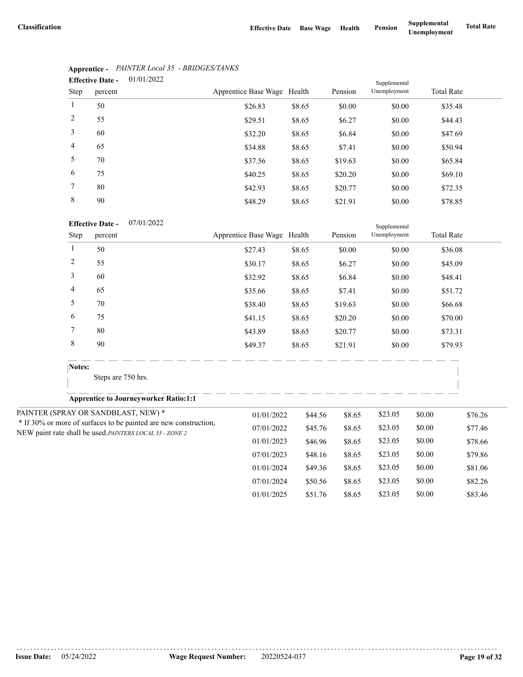|                | <b>Effective Date -</b> | 01/01/2022 |                             |        |         | Supplemental |                   |
|----------------|-------------------------|------------|-----------------------------|--------|---------|--------------|-------------------|
| Step           | percent                 |            | Apprentice Base Wage Health |        | Pension | Unemployment | <b>Total Rate</b> |
| $\mathbf{1}$   | 50                      |            | \$26.83                     | \$8.65 | \$0.00  | \$0.00       | \$35.48           |
| 2              | 55                      |            | \$29.51                     | \$8.65 | \$6.27  | \$0.00       | \$44.43           |
| 3              | 60                      |            | \$32.20                     | \$8.65 | \$6.84  | \$0.00       | \$47.69           |
| $\overline{4}$ | 65                      |            | \$34.88                     | \$8.65 | \$7.41  | \$0.00       | \$50.94           |
| 5              | 70                      |            | \$37.56                     | \$8.65 | \$19.63 | \$0.00       | \$65.84           |
| 6              | 75                      |            | \$40.25                     | \$8.65 | \$20.20 | \$0.00       | \$69.10           |
| 7              | 80                      |            | \$42.93                     | \$8.65 | \$20.77 | \$0.00       | \$72.35           |
| 8              | 90                      |            | \$48.29                     | \$8.65 | \$21.91 | \$0.00       | \$78.85           |

# **Apprentice -** *PAINTER Local 35 - BRIDGES/TANKS*

|                | <b>Effective Date -</b><br>07/01/2022                                                                                        |                             |         |         | Supplemental |        |                   |
|----------------|------------------------------------------------------------------------------------------------------------------------------|-----------------------------|---------|---------|--------------|--------|-------------------|
| Step           | percent                                                                                                                      | Apprentice Base Wage Health |         | Pension | Unemployment |        | <b>Total Rate</b> |
| $\mathbf{1}$   | 50                                                                                                                           | \$27.43                     | \$8.65  | \$0.00  | \$0.00       |        | \$36.08           |
| $\overline{c}$ | 55                                                                                                                           | \$30.17                     | \$8.65  | \$6.27  | \$0.00       |        | \$45.09           |
| 3              | 60                                                                                                                           | \$32.92                     | \$8.65  | \$6.84  | \$0.00       |        | \$48.41           |
| 4              | 65                                                                                                                           | \$35.66                     | \$8.65  | \$7.41  | \$0.00       |        | \$51.72           |
| 5              | 70                                                                                                                           | \$38.40                     | \$8.65  | \$19.63 | \$0.00       |        | \$66.68           |
| 6              | 75                                                                                                                           | \$41.15                     | \$8.65  | \$20.20 | \$0.00       |        | \$70.00           |
| 7              | 80                                                                                                                           | \$43.89                     | \$8.65  | \$20.77 | \$0.00       |        | \$73.31           |
| 8              | 90                                                                                                                           | \$49.37                     | \$8.65  | \$21.91 | \$0.00       |        | \$79.93           |
| Notes:         |                                                                                                                              |                             |         |         |              |        |                   |
|                | Steps are 750 hrs.                                                                                                           |                             |         |         |              |        |                   |
|                | <b>Apprentice to Journeyworker Ratio:1:1</b>                                                                                 |                             |         |         |              |        |                   |
|                | PAINTER (SPRAY OR SANDBLAST, NEW) *                                                                                          | 01/01/2022                  | \$44.56 | \$8.65  | \$23.05      | \$0.00 | \$76.26           |
|                | * If 30% or more of surfaces to be painted are new construction,<br>NEW paint rate shall be used. PAINTERS LOCAL 35 - ZONE 2 | 07/01/2022                  | \$45.76 | \$8.65  | \$23.05      | \$0.00 | \$77.46           |
|                |                                                                                                                              | 01/01/2023                  | \$46.96 | \$8.65  | \$23.05      | \$0.00 | \$78.66           |
|                |                                                                                                                              | 07/01/2023                  | \$48.16 | \$8.65  | \$23.05      | \$0.00 | \$79.86           |
|                |                                                                                                                              | 01/01/2024                  | \$49.36 | \$8.65  | \$23.05      | \$0.00 | \$81.06           |
|                |                                                                                                                              | 07/01/2024                  | \$50.56 | \$8.65  | \$23.05      | \$0.00 | \$82.26           |
|                |                                                                                                                              | 01/01/2025                  | \$51.76 | \$8.65  | \$23.05      | \$0.00 | \$83.46           |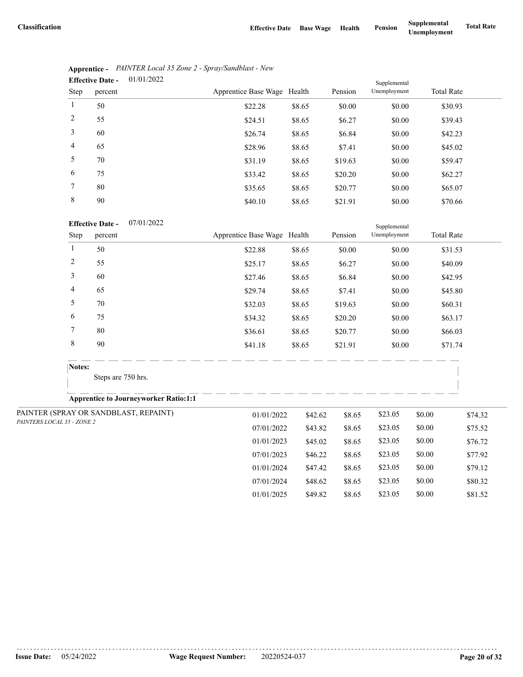07/01/2024 \$48.62 \$8.65 \$23.05 \$0.00 \$80.32 01/01/2025 \$49.82 \$8.65 \$23.05 \$0.00 \$81.52

|                | 01/01/2022<br><b>Effective Date -</b> |                             |        |         | Supplemental |                   |
|----------------|---------------------------------------|-----------------------------|--------|---------|--------------|-------------------|
| Step           | percent                               | Apprentice Base Wage Health |        | Pension | Unemployment | <b>Total Rate</b> |
| 1              | 50                                    | \$22.28                     | \$8.65 | \$0.00  | \$0.00       | \$30.93           |
| 2              | 55                                    | \$24.51                     | \$8.65 | \$6.27  | \$0.00       | \$39.43           |
| 3              | 60                                    | \$26.74                     | \$8.65 | \$6.84  | \$0.00       | \$42.23           |
| $\overline{4}$ | 65                                    | \$28.96                     | \$8.65 | \$7.41  | \$0.00       | \$45.02           |
| 5              | 70                                    | \$31.19                     | \$8.65 | \$19.63 | \$0.00       | \$59.47           |
| 6              | 75                                    | \$33.42                     | \$8.65 | \$20.20 | \$0.00       | \$62.27           |
| 7              | 80                                    | \$35.65                     | \$8.65 | \$20.77 | \$0.00       | \$65.07           |
| 8              | 90                                    | \$40.10                     | \$8.65 | \$21.91 | \$0.00       | \$70.66           |

|                | Apprentice - PAINTER Local 35 Zone 2 - Spray/Sandblast - New |
|----------------|--------------------------------------------------------------|
| Effective Date | 01/01/2022                                                   |

#### 07/01/2022 **Effective Date -**

|                            |                | <b>Effective Date -</b><br>07/01/2022        |                             |         |         | Supplemental |        |                   |
|----------------------------|----------------|----------------------------------------------|-----------------------------|---------|---------|--------------|--------|-------------------|
|                            | Step           | percent                                      | Apprentice Base Wage Health |         | Pension | Unemployment |        | <b>Total Rate</b> |
|                            | $\mathbf{1}$   | 50                                           | \$22.88                     | \$8.65  | \$0.00  | \$0.00       |        | \$31.53           |
|                            | $\overline{c}$ | 55                                           | \$25.17                     | \$8.65  | \$6.27  | \$0.00       |        | \$40.09           |
|                            | 3              | 60                                           | \$27.46                     | \$8.65  | \$6.84  | \$0.00       |        | \$42.95           |
|                            | 4              | 65                                           | \$29.74                     | \$8.65  | \$7.41  | \$0.00       |        | \$45.80           |
|                            | 5              | 70                                           | \$32.03                     | \$8.65  | \$19.63 | \$0.00       |        | \$60.31           |
|                            | 6              | 75                                           | \$34.32                     | \$8.65  | \$20.20 | \$0.00       |        | \$63.17           |
|                            | 7              | 80                                           | \$36.61                     | \$8.65  | \$20.77 | \$0.00       |        | \$66.03           |
|                            | 8              | 90                                           | \$41.18                     | \$8.65  | \$21.91 | \$0.00       |        | \$71.74           |
|                            | Notes:         |                                              |                             |         |         |              |        |                   |
|                            |                | Steps are 750 hrs.                           |                             |         |         |              |        |                   |
|                            |                | <b>Apprentice to Journeyworker Ratio:1:1</b> |                             |         |         |              |        |                   |
|                            |                | PAINTER (SPRAY OR SANDBLAST, REPAINT)        | 01/01/2022                  | \$42.62 | \$8.65  | \$23.05      | \$0.00 | \$74.32           |
| PAINTERS LOCAL 35 - ZONE 2 |                |                                              | 07/01/2022                  | \$43.82 | \$8.65  | \$23.05      | \$0.00 | \$75.52           |
|                            |                |                                              | 01/01/2023                  | \$45.02 | \$8.65  | \$23.05      | \$0.00 | \$76.72           |
|                            |                |                                              | 07/01/2023                  | \$46.22 | \$8.65  | \$23.05      | \$0.00 | \$77.92           |
|                            |                |                                              | 01/01/2024                  | \$47.42 | \$8.65  | \$23.05      | \$0.00 | \$79.12           |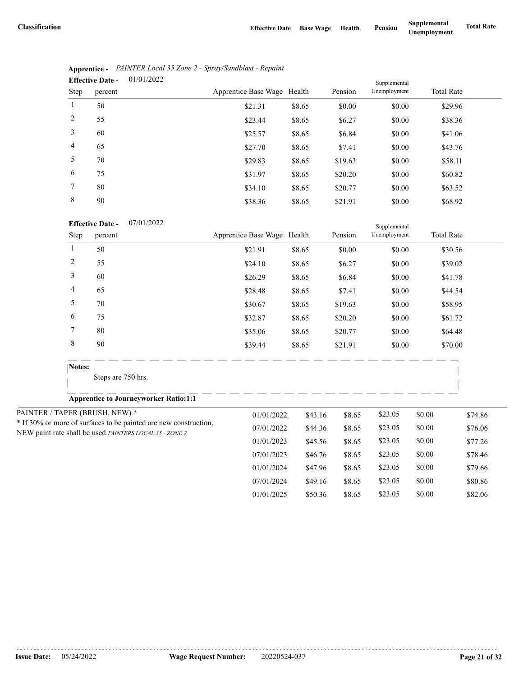|                | 01/01/2022<br><b>Effective Date -</b> |                             |        |         | Supplemental |                   |  |
|----------------|---------------------------------------|-----------------------------|--------|---------|--------------|-------------------|--|
| Step           | percent                               | Apprentice Base Wage Health |        | Pension | Unemployment | <b>Total Rate</b> |  |
| 1              | 50                                    | \$21.31                     | \$8.65 | \$0.00  | \$0.00       | \$29.96           |  |
| 2              | 55                                    | \$23.44                     | \$8.65 | \$6.27  | \$0.00       | \$38.36           |  |
| 3              | 60                                    | \$25.57                     | \$8.65 | \$6.84  | \$0.00       | \$41.06           |  |
| $\overline{4}$ | 65                                    | \$27.70                     | \$8.65 | \$7.41  | \$0.00       | \$43.76           |  |
| 5              | 70                                    | \$29.83                     | \$8.65 | \$19.63 | \$0.00       | \$58.11           |  |
| 6              | 75                                    | \$31.97                     | \$8.65 | \$20.20 | \$0.00       | \$60.82           |  |
| 7              | 80                                    | \$34.10                     | \$8.65 | \$20.77 | \$0.00       | \$63.52           |  |
| 8              | 90                                    | \$38.36                     | \$8.65 | \$21.91 | \$0.00       | \$68.92           |  |

|                               | Apprentice - PAINTER Local 35 Zone 2 - Spray/Sandblast - Repaint |
|-------------------------------|------------------------------------------------------------------|
| Effective Date $-$ 01/01/2022 |                                                                  |

| 07/01/2022 |
|------------|
|            |

|                | <b>Effective Date -</b><br>07/01/2022                            |                             |         |         | Supplemental |        |                   |
|----------------|------------------------------------------------------------------|-----------------------------|---------|---------|--------------|--------|-------------------|
| Step           | percent                                                          | Apprentice Base Wage Health |         | Pension | Unemployment |        | <b>Total Rate</b> |
| $\mathbf{1}$   | 50                                                               | \$21.91                     | \$8.65  | \$0.00  | \$0.00       |        | \$30.56           |
| $\overline{c}$ | 55                                                               | \$24.10                     | \$8.65  | \$6.27  | \$0.00       |        | \$39.02           |
| 3              | 60                                                               | \$26.29                     | \$8.65  | \$6.84  | \$0.00       |        | \$41.78           |
| 4              | 65                                                               | \$28.48                     | \$8.65  | \$7.41  | \$0.00       |        | \$44.54           |
| 5              | 70                                                               | \$30.67                     | \$8.65  | \$19.63 | \$0.00       |        | \$58.95           |
| 6              | 75                                                               | \$32.87                     | \$8.65  | \$20.20 | \$0.00       |        | \$61.72           |
| 7              | 80                                                               | \$35.06                     | \$8.65  | \$20.77 | \$0.00       |        | \$64.48           |
| $\,$ 8 $\,$    | 90                                                               | \$39.44                     | \$8.65  | \$21.91 | \$0.00       |        | \$70.00           |
| Notes:         |                                                                  |                             |         |         |              |        |                   |
|                | Steps are 750 hrs.                                               |                             |         |         |              |        |                   |
|                | <b>Apprentice to Journeyworker Ratio:1:1</b>                     |                             |         |         |              |        |                   |
|                | PAINTER / TAPER (BRUSH, NEW) *                                   | 01/01/2022                  | \$43.16 | \$8.65  | \$23.05      | \$0.00 | \$74.86           |
|                | * If 30% or more of surfaces to be painted are new construction, | 07/01/2022                  | \$44.36 | \$8.65  | \$23.05      | \$0.00 | \$76.06           |
|                | NEW paint rate shall be used.PAINTERS LOCAL 35 - ZONE 2          | 01/01/2023                  | \$45.56 | \$8.65  | \$23.05      | \$0.00 | \$77.26           |
|                |                                                                  | 07/01/2023                  | \$46.76 | \$8.65  | \$23.05      | \$0.00 | \$78.46           |
|                |                                                                  | 01/01/2024                  | \$47.96 | \$8.65  | \$23.05      | \$0.00 | \$79.66           |
|                |                                                                  | 07/01/2024                  | \$49.16 | \$8.65  | \$23.05      | \$0.00 | \$80.86           |
|                |                                                                  | 01/01/2025                  | \$50.36 | \$8.65  | \$23.05      | \$0.00 | \$82.06           |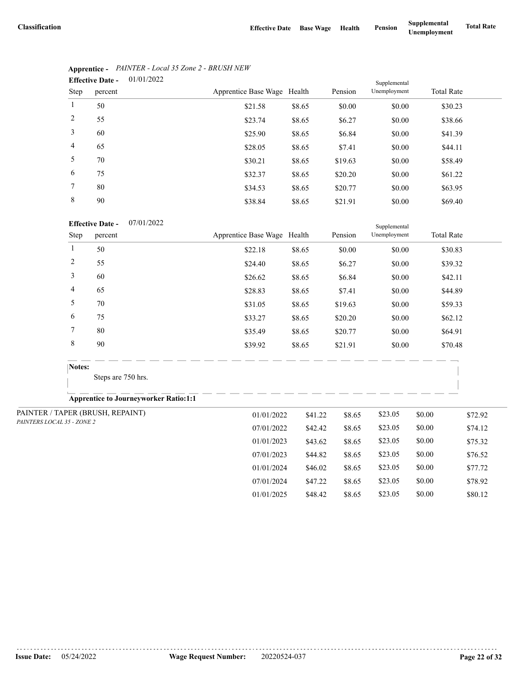07/01/2024 \$47.22 \$8.65 \$23.05 \$0.00 \$78.92 01/01/2025 \$48.42 \$8.65 \$23.05 \$0.00 \$80.12

|                | 01/01/2022<br><b>Effective Date -</b> |                             |        |         | Supplemental |                   |  |
|----------------|---------------------------------------|-----------------------------|--------|---------|--------------|-------------------|--|
| Step           | percent                               | Apprentice Base Wage Health |        | Pension | Unemployment | <b>Total Rate</b> |  |
| 1              | 50                                    | \$21.58                     | \$8.65 | \$0.00  | \$0.00       | \$30.23           |  |
| 2              | 55                                    | \$23.74                     | \$8.65 | \$6.27  | \$0.00       | \$38.66           |  |
| 3              | 60                                    | \$25.90                     | \$8.65 | \$6.84  | \$0.00       | \$41.39           |  |
| $\overline{4}$ | 65                                    | \$28.05                     | \$8.65 | \$7.41  | \$0.00       | \$44.11           |  |
| 5              | 70                                    | \$30.21                     | \$8.65 | \$19.63 | \$0.00       | \$58.49           |  |
| 6              | 75                                    | \$32.37                     | \$8.65 | \$20.20 | \$0.00       | \$61.22           |  |
| 7              | 80                                    | \$34.53                     | \$8.65 | \$20.77 | \$0.00       | \$63.95           |  |
| 8              | 90                                    | \$38.84                     | \$8.65 | \$21.91 | \$0.00       | \$69.40           |  |

# **Apprentice -** *PAINTER - Local 35 Zone 2 - BRUSH NEW*

#### 07/01/2022 **Effective Date -**

|                            |                | <b>Effective Date -</b><br>07/01/2022        |                             |         |         | Supplemental |        |                   |
|----------------------------|----------------|----------------------------------------------|-----------------------------|---------|---------|--------------|--------|-------------------|
|                            | Step           | percent                                      | Apprentice Base Wage Health |         | Pension | Unemployment |        | <b>Total Rate</b> |
|                            | $\mathbf{1}$   | 50                                           | \$22.18                     | \$8.65  | \$0.00  | \$0.00       |        | \$30.83           |
|                            | $\overline{c}$ | 55                                           | \$24.40                     | \$8.65  | \$6.27  | \$0.00       |        | \$39.32           |
|                            | 3              | 60                                           | \$26.62                     | \$8.65  | \$6.84  | \$0.00       |        | \$42.11           |
|                            | 4              | 65                                           | \$28.83                     | \$8.65  | \$7.41  | \$0.00       |        | \$44.89           |
|                            | 5              | 70                                           | \$31.05                     | \$8.65  | \$19.63 | \$0.00       |        | \$59.33           |
|                            | 6              | 75                                           | \$33.27                     | \$8.65  | \$20.20 | \$0.00       |        | \$62.12           |
|                            | 7              | 80                                           | \$35.49                     | \$8.65  | \$20.77 | \$0.00       |        | \$64.91           |
|                            | 8              | 90                                           | \$39.92                     | \$8.65  | \$21.91 | \$0.00       |        | \$70.48           |
|                            | Notes:         |                                              |                             |         |         |              |        |                   |
|                            |                | Steps are 750 hrs.                           |                             |         |         |              |        |                   |
|                            |                | <b>Apprentice to Journeyworker Ratio:1:1</b> |                             |         |         |              |        |                   |
|                            |                | PAINTER / TAPER (BRUSH, REPAINT)             | 01/01/2022                  | \$41.22 | \$8.65  | \$23.05      | \$0.00 | \$72.92           |
| PAINTERS LOCAL 35 - ZONE 2 |                |                                              | 07/01/2022                  | \$42.42 | \$8.65  | \$23.05      | \$0.00 | \$74.12           |
|                            |                |                                              | 01/01/2023                  | \$43.62 | \$8.65  | \$23.05      | \$0.00 | \$75.32           |
|                            |                |                                              | 07/01/2023                  | \$44.82 | \$8.65  | \$23.05      | \$0.00 | \$76.52           |
|                            |                |                                              | 01/01/2024                  | \$46.02 | \$8.65  | \$23.05      | \$0.00 | \$77.72           |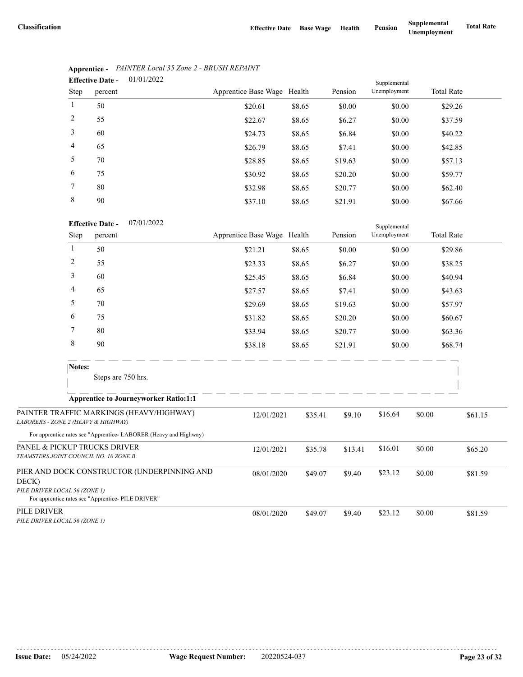|                | 01/01/2022<br><b>Effective Date -</b> |                             |        |         | Supplemental |                   |  |
|----------------|---------------------------------------|-----------------------------|--------|---------|--------------|-------------------|--|
| Step           | percent                               | Apprentice Base Wage Health |        | Pension | Unemployment | <b>Total Rate</b> |  |
| $\mathbf{1}$   | 50                                    | \$20.61                     | \$8.65 | \$0.00  | \$0.00       | \$29.26           |  |
| 2              | 55                                    | \$22.67                     | \$8.65 | \$6.27  | \$0.00       | \$37.59           |  |
| 3              | 60                                    | \$24.73                     | \$8.65 | \$6.84  | \$0.00       | \$40.22           |  |
| $\overline{4}$ | 65                                    | \$26.79                     | \$8.65 | \$7.41  | \$0.00       | \$42.85           |  |
| 5              | 70                                    | \$28.85                     | \$8.65 | \$19.63 | \$0.00       | \$57.13           |  |
| 6              | 75                                    | \$30.92                     | \$8.65 | \$20.20 | \$0.00       | \$59.77           |  |
| 7              | 80                                    | \$32.98                     | \$8.65 | \$20.77 | \$0.00       | \$62.40           |  |
| 8              | 90                                    | \$37.10                     | \$8.65 | \$21.91 | \$0.00       | \$67.66           |  |

# **Apprentice -** *PAINTER Local 35 Zone 2 - BRUSH REPAINT*

|                                                                       |              | <b>Effective Date -</b><br>0//01/2022                            |                             |         |         | Supplemental |        |                   |
|-----------------------------------------------------------------------|--------------|------------------------------------------------------------------|-----------------------------|---------|---------|--------------|--------|-------------------|
|                                                                       | Step         | percent                                                          | Apprentice Base Wage Health |         | Pension | Unemployment |        | <b>Total Rate</b> |
|                                                                       | $\mathbf{1}$ | 50                                                               | \$21.21                     | \$8.65  | \$0.00  | \$0.00       |        | \$29.86           |
|                                                                       | 2            | 55                                                               | \$23.33                     | \$8.65  | \$6.27  | \$0.00       |        | \$38.25           |
|                                                                       | 3            | 60                                                               | \$25.45                     | \$8.65  | \$6.84  | \$0.00       |        | \$40.94           |
|                                                                       | 4            | 65                                                               | \$27.57                     | \$8.65  | \$7.41  | \$0.00       |        | \$43.63           |
|                                                                       | 5            | 70                                                               | \$29.69                     | \$8.65  | \$19.63 | \$0.00       |        | \$57.97           |
|                                                                       | 6            | 75                                                               | \$31.82                     | \$8.65  | \$20.20 | \$0.00       |        | \$60.67           |
|                                                                       | 7            | 80                                                               | \$33.94                     | \$8.65  | \$20.77 | \$0.00       |        | \$63.36           |
|                                                                       | 8            | 90                                                               | \$38.18                     | \$8.65  | \$21.91 | \$0.00       |        | \$68.74           |
|                                                                       | Notes:       |                                                                  |                             |         |         |              |        |                   |
|                                                                       |              | Steps are 750 hrs.                                               |                             |         |         |              |        |                   |
|                                                                       |              | <b>Apprentice to Journeyworker Ratio:1:1</b>                     |                             |         |         |              |        |                   |
| LABORERS - ZONE 2 (HEAVY & HIGHWAY)                                   |              | PAINTER TRAFFIC MARKINGS (HEAVY/HIGHWAY)                         | 12/01/2021                  | \$35.41 | \$9.10  | \$16.64      | \$0.00 | \$61.15           |
|                                                                       |              | For apprentice rates see "Apprentice-LABORER (Heavy and Highway) |                             |         |         |              |        |                   |
| PANEL & PICKUP TRUCKS DRIVER<br>TEAMSTERS JOINT COUNCIL NO. 10 ZONE B |              |                                                                  | 12/01/2021                  | \$35.78 | \$13.41 | \$16.01      | \$0.00 | \$65.20           |
| DECK)                                                                 |              | PIER AND DOCK CONSTRUCTOR (UNDERPINNING AND                      | 08/01/2020                  | \$49.07 | \$9.40  | \$23.12      | \$0.00 | \$81.59           |
| PILE DRIVER LOCAL 56 (ZONE 1)                                         |              | For apprentice rates see "Apprentice- PILE DRIVER"               |                             |         |         |              |        |                   |
| PILE DRIVER<br>PILE DRIVER LOCAL 56 (ZONE 1)                          |              |                                                                  | 08/01/2020                  | \$49.07 | \$9.40  | \$23.12      | \$0.00 | \$81.59           |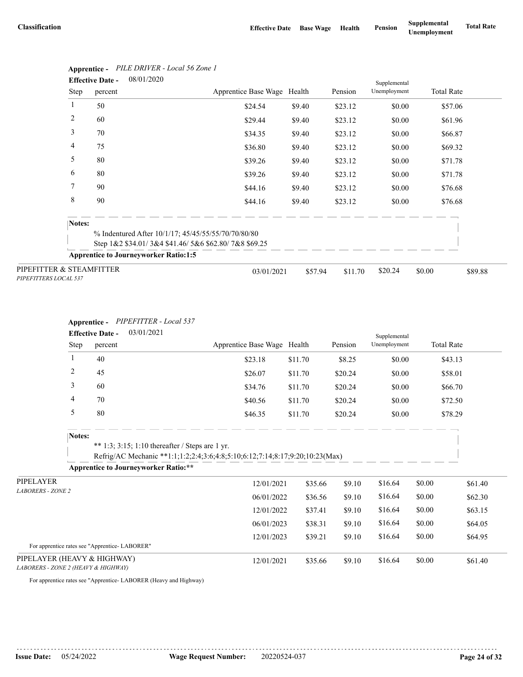|                                                   | <b>Effective Date -</b> | 08/01/2020                                           |                             |         |         | Supplemental |                   |         |
|---------------------------------------------------|-------------------------|------------------------------------------------------|-----------------------------|---------|---------|--------------|-------------------|---------|
|                                                   | Step                    | percent                                              | Apprentice Base Wage Health |         | Pension | Unemployment | <b>Total Rate</b> |         |
| 1                                                 | 50                      |                                                      | \$24.54                     | \$9.40  | \$23.12 | \$0.00       | \$57.06           |         |
| 2                                                 | 60                      |                                                      | \$29.44                     | \$9.40  | \$23.12 | \$0.00       | \$61.96           |         |
| 3                                                 | 70                      |                                                      | \$34.35                     | \$9.40  | \$23.12 | \$0.00       | \$66.87           |         |
| 4                                                 | 75                      |                                                      | \$36.80                     | \$9.40  | \$23.12 | \$0.00       | \$69.32           |         |
| 5                                                 | 80                      |                                                      | \$39.26                     | \$9.40  | \$23.12 | \$0.00       | \$71.78           |         |
| 6                                                 | 80                      |                                                      | \$39.26                     | \$9.40  | \$23.12 | \$0.00       | \$71.78           |         |
| 7                                                 | 90                      |                                                      | \$44.16                     | \$9.40  | \$23.12 | \$0.00       | \$76.68           |         |
| 8                                                 | 90                      |                                                      | \$44.16                     | \$9.40  | \$23.12 | \$0.00       | \$76.68           |         |
|                                                   | Notes:                  |                                                      |                             |         |         |              |                   |         |
|                                                   |                         | % Indentured After 10/1/17; 45/45/55/55/70/70/80/80  |                             |         |         |              |                   |         |
|                                                   |                         | Step 1&2 \$34.01/3&4 \$41.46/5&6 \$62.80/7&8 \$69.25 |                             |         |         |              |                   |         |
|                                                   |                         | <b>Apprentice to Journeyworker Ratio:1:5</b>         |                             |         |         |              |                   |         |
| PIPEFITTER & STEAMFITTER<br>PIPEFITTERS LOCAL 537 |                         |                                                      | 03/01/2021                  | \$57.94 | \$11.70 | \$20.24      | \$0.00            | \$89.88 |

# **Apprentice -** *PILE DRIVER - Local 56 Zone 1*

#### **Apprentice -** *PIPEFITTER - Local 537*

|                                                                    |                | <b>Effective Date -</b> | 03/01/2021                                                                                                                      |                             |         |         | Supplemental |                   |         |
|--------------------------------------------------------------------|----------------|-------------------------|---------------------------------------------------------------------------------------------------------------------------------|-----------------------------|---------|---------|--------------|-------------------|---------|
|                                                                    | Step           | percent                 |                                                                                                                                 | Apprentice Base Wage Health |         | Pension | Unemployment | <b>Total Rate</b> |         |
|                                                                    | 1              | 40                      |                                                                                                                                 | \$23.18                     | \$11.70 | \$8.25  | \$0.00       | \$43.13           |         |
|                                                                    | $\overline{c}$ | 45                      |                                                                                                                                 | \$26.07                     | \$11.70 | \$20.24 | \$0.00       | \$58.01           |         |
|                                                                    | 3              | 60                      |                                                                                                                                 | \$34.76                     | \$11.70 | \$20.24 | \$0.00       | \$66.70           |         |
|                                                                    | 4              | 70                      |                                                                                                                                 | \$40.56                     | \$11.70 | \$20.24 | \$0.00       | \$72.50           |         |
|                                                                    | 5              | 80                      |                                                                                                                                 | \$46.35                     | \$11.70 | \$20.24 | \$0.00       | \$78.29           |         |
|                                                                    | Notes:         |                         | ** 1:3; 3:15; 1:10 thereafter / Steps are 1 yr.<br>Refrig/AC Mechanic **1:1;1:2;2:4;3:6;4:8;5:10;6:12;7:14;8:17;9:20;10:23(Max) |                             |         |         |              |                   |         |
|                                                                    |                |                         | <b>Apprentice to Journeyworker Ratio:**</b>                                                                                     |                             |         |         |              |                   |         |
| PIPELAYER                                                          |                |                         |                                                                                                                                 | 12/01/2021                  | \$35.66 | \$9.10  | \$16.64      | \$0.00            | \$61.40 |
| <b>LABORERS - ZONE 2</b>                                           |                |                         |                                                                                                                                 | 06/01/2022                  | \$36.56 | \$9.10  | \$16.64      | \$0.00            | \$62.30 |
|                                                                    |                |                         |                                                                                                                                 | 12/01/2022                  | \$37.41 | \$9.10  | \$16.64      | \$0.00            | \$63.15 |
|                                                                    |                |                         |                                                                                                                                 | 06/01/2023                  | \$38.31 | \$9.10  | \$16.64      | \$0.00            | \$64.05 |
|                                                                    |                |                         |                                                                                                                                 | 12/01/2023                  | \$39.21 | \$9.10  | \$16.64      | \$0.00            | \$64.95 |
| For apprentice rates see "Apprentice-LABORER"                      |                |                         |                                                                                                                                 |                             |         |         |              |                   |         |
| PIPELAYER (HEAVY & HIGHWAY)<br>LABORERS - ZONE 2 (HEAVY & HIGHWAY) |                |                         |                                                                                                                                 | 12/01/2021                  | \$35.66 | \$9.10  | \$16.64      | \$0.00            | \$61.40 |

For apprentice rates see "Apprentice- LABORER (Heavy and Highway)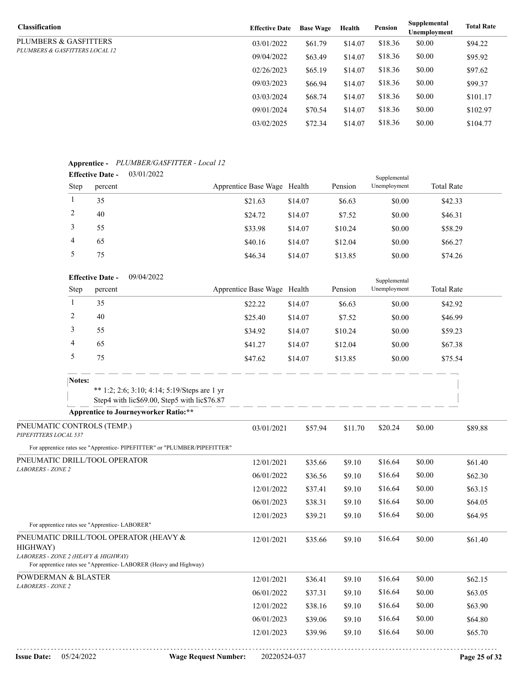| <b>Classification</b>          | <b>Effective Date</b> | <b>Base Wage</b> | Health  | Pension | Supplemental<br>Unemployment | <b>Total Rate</b> |
|--------------------------------|-----------------------|------------------|---------|---------|------------------------------|-------------------|
| PLUMBERS & GASFITTERS          | 03/01/2022            | \$61.79          | \$14.07 | \$18.36 | \$0.00                       | \$94.22           |
| PLUMBERS & GASFITTERS LOCAL 12 | 09/04/2022            | \$63.49          | \$14.07 | \$18.36 | \$0.00                       | \$95.92           |
|                                | 02/26/2023            | \$65.19          | \$14.07 | \$18.36 | \$0.00                       | \$97.62           |
|                                | 09/03/2023            | \$66.94          | \$14.07 | \$18.36 | \$0.00                       | \$99.37           |
|                                | 03/03/2024            | \$68.74          | \$14.07 | \$18.36 | \$0.00                       | \$101.17          |
|                                | 09/01/2024            | \$70.54          | \$14.07 | \$18.36 | \$0.00                       | \$102.97          |
|                                | 03/02/2025            | \$72.34          | \$14.07 | \$18.36 | \$0.00                       | \$104.77          |

### **Apprentice -** *PLUMBER/GASFITTER - Local 12*

| . .  | <b>Effective Date -</b> | 03/01/2022 |                             |         |         | Supplemental |                   |  |
|------|-------------------------|------------|-----------------------------|---------|---------|--------------|-------------------|--|
| Step | percent                 |            | Apprentice Base Wage Health |         | Pension | Unemployment | <b>Total Rate</b> |  |
|      | 35                      |            | \$21.63                     | \$14.07 | \$6.63  | \$0.00       | \$42.33           |  |
|      | 40                      |            | \$24.72                     | \$14.07 | \$7.52  | \$0.00       | \$46.31           |  |
|      | 55                      |            | \$33.98                     | \$14.07 | \$10.24 | \$0.00       | \$58.29           |  |
| 4    | 65                      |            | \$40.16                     | \$14.07 | \$12.04 | \$0.00       | \$66.27           |  |
|      | 75                      |            | \$46.34                     | \$14.07 | \$13.85 | \$0.00       | \$74.26           |  |

|                                                     |        | 09/04/2022<br><b>Effective Date -</b>         |                                                                                              |                             |         |         | Supplemental |        |                   |
|-----------------------------------------------------|--------|-----------------------------------------------|----------------------------------------------------------------------------------------------|-----------------------------|---------|---------|--------------|--------|-------------------|
|                                                     | Step   | percent                                       |                                                                                              | Apprentice Base Wage Health |         | Pension | Unemployment |        | <b>Total Rate</b> |
|                                                     | 1      | 35                                            |                                                                                              | \$22.22                     | \$14.07 | \$6.63  | \$0.00       |        | \$42.92           |
|                                                     | 2      | 40                                            |                                                                                              | \$25.40                     | \$14.07 | \$7.52  | \$0.00       |        | \$46.99           |
|                                                     | 3      | 55                                            |                                                                                              | \$34.92                     | \$14.07 | \$10.24 | \$0.00       |        | \$59.23           |
|                                                     | 4      | 65                                            |                                                                                              | \$41.27                     | \$14.07 | \$12.04 | \$0.00       |        | \$67.38           |
|                                                     | 5      | 75                                            |                                                                                              | \$47.62                     | \$14.07 | \$13.85 | \$0.00       |        | \$75.54           |
|                                                     | Notes: |                                               |                                                                                              |                             |         |         |              |        |                   |
|                                                     |        |                                               | ** 1:2; 2:6; 3:10; 4:14; 5:19/Steps are 1 yr<br>Step4 with lic\$69.00, Step5 with lic\$76.87 |                             |         |         |              |        |                   |
|                                                     |        |                                               | <b>Apprentice to Journeyworker Ratio:**</b>                                                  |                             |         |         |              |        |                   |
| PNEUMATIC CONTROLS (TEMP.)<br>PIPEFITTERS LOCAL 537 |        |                                               |                                                                                              | 03/01/2021                  | \$57.94 | \$11.70 | \$20.24      | \$0.00 | \$89.88           |
|                                                     |        |                                               | For apprentice rates see "Apprentice- PIPEFITTER" or "PLUMBER/PIPEFITTER"                    |                             |         |         |              |        |                   |
| PNEUMATIC DRILL/TOOL OPERATOR                       |        |                                               |                                                                                              | 12/01/2021                  | \$35.66 | \$9.10  | \$16.64      | \$0.00 | \$61.40           |
| <b>LABORERS - ZONE 2</b>                            |        |                                               |                                                                                              | 06/01/2022                  | \$36.56 | \$9.10  | \$16.64      | \$0.00 | \$62.30           |
|                                                     |        |                                               |                                                                                              | 12/01/2022                  | \$37.41 | \$9.10  | \$16.64      | \$0.00 | \$63.15           |
|                                                     |        |                                               |                                                                                              | 06/01/2023                  | \$38.31 | \$9.10  | \$16.64      | \$0.00 | \$64.05           |
|                                                     |        |                                               |                                                                                              | 12/01/2023                  | \$39.21 | \$9.10  | \$16.64      | \$0.00 | \$64.95           |
|                                                     |        | For apprentice rates see "Apprentice-LABORER" |                                                                                              |                             |         |         |              |        |                   |
| PNEUMATIC DRILL/TOOL OPERATOR (HEAVY &<br>HIGHWAY)  |        |                                               |                                                                                              | 12/01/2021                  | \$35.66 | \$9.10  | \$16.64      | \$0.00 | \$61.40           |
| LABORERS - ZONE 2 (HEAVY & HIGHWAY)                 |        |                                               | For apprentice rates see "Apprentice- LABORER (Heavy and Highway)                            |                             |         |         |              |        |                   |
| POWDERMAN & BLASTER                                 |        |                                               |                                                                                              | 12/01/2021                  | \$36.41 | \$9.10  | \$16.64      | \$0.00 | \$62.15           |
| <b>LABORERS - ZONE 2</b>                            |        |                                               |                                                                                              | 06/01/2022                  | \$37.31 | \$9.10  | \$16.64      | \$0.00 | \$63.05           |
|                                                     |        |                                               |                                                                                              | 12/01/2022                  | \$38.16 | \$9.10  | \$16.64      | \$0.00 | \$63.90           |
|                                                     |        |                                               |                                                                                              | 06/01/2023                  | \$39.06 | \$9.10  | \$16.64      | \$0.00 | \$64.80           |
|                                                     |        |                                               |                                                                                              | 12/01/2023                  | \$39.96 | \$9.10  | \$16.64      | \$0.00 | \$65.70           |
|                                                     |        |                                               |                                                                                              |                             |         |         |              |        |                   |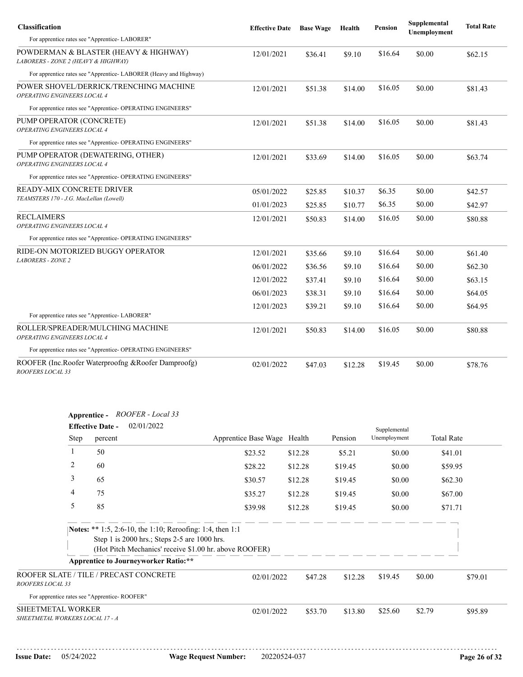| Classification                                                                 | <b>Effective Date</b> | <b>Base Wage</b> | Health  | <b>Pension</b> | Supplemental<br>Unemployment | <b>Total Rate</b> |
|--------------------------------------------------------------------------------|-----------------------|------------------|---------|----------------|------------------------------|-------------------|
| For apprentice rates see "Apprentice-LABORER"                                  |                       |                  |         |                |                              |                   |
| POWDERMAN & BLASTER (HEAVY & HIGHWAY)<br>LABORERS - ZONE 2 (HEAVY & HIGHWAY)   | 12/01/2021            | \$36.41          | \$9.10  | \$16.64        | \$0.00                       | \$62.15           |
| For apprentice rates see "Apprentice-LABORER (Heavy and Highway)               |                       |                  |         |                |                              |                   |
| POWER SHOVEL/DERRICK/TRENCHING MACHINE<br>OPERATING ENGINEERS LOCAL 4          | 12/01/2021            | \$51.38          | \$14.00 | \$16.05        | \$0.00                       | \$81.43           |
| For apprentice rates see "Apprentice-OPERATING ENGINEERS"                      |                       |                  |         |                |                              |                   |
| PUMP OPERATOR (CONCRETE)<br>OPERATING ENGINEERS LOCAL 4                        | 12/01/2021            | \$51.38          | \$14.00 | \$16.05        | \$0.00                       | \$81.43           |
| For apprentice rates see "Apprentice- OPERATING ENGINEERS"                     |                       |                  |         |                |                              |                   |
| PUMP OPERATOR (DEWATERING, OTHER)<br>OPERATING ENGINEERS LOCAL 4               | 12/01/2021            | \$33.69          | \$14.00 | \$16.05        | \$0.00                       | \$63.74           |
| For apprentice rates see "Apprentice-OPERATING ENGINEERS"                      |                       |                  |         |                |                              |                   |
| READY-MIX CONCRETE DRIVER                                                      | 05/01/2022            | \$25.85          | \$10.37 | \$6.35         | \$0.00                       | \$42.57           |
| TEAMSTERS 170 - J.G. MacLellan (Lowell)                                        | 01/01/2023            | \$25.85          | \$10.77 | \$6.35         | \$0.00                       | \$42.97           |
| <b>RECLAIMERS</b><br><b>OPERATING ENGINEERS LOCAL 4</b>                        | 12/01/2021            | \$50.83          | \$14.00 | \$16.05        | \$0.00                       | \$80.88           |
| For apprentice rates see "Apprentice- OPERATING ENGINEERS"                     |                       |                  |         |                |                              |                   |
| RIDE-ON MOTORIZED BUGGY OPERATOR                                               | 12/01/2021            | \$35.66          | \$9.10  | \$16.64        | \$0.00                       | \$61.40           |
| <b>LABORERS - ZONE 2</b>                                                       | 06/01/2022            | \$36.56          | \$9.10  | \$16.64        | \$0.00                       | \$62.30           |
|                                                                                | 12/01/2022            | \$37.41          | \$9.10  | \$16.64        | \$0.00                       | \$63.15           |
|                                                                                | 06/01/2023            | \$38.31          | \$9.10  | \$16.64        | \$0.00                       | \$64.05           |
|                                                                                | 12/01/2023            | \$39.21          | \$9.10  | \$16.64        | \$0.00                       | \$64.95           |
| For apprentice rates see "Apprentice-LABORER"                                  |                       |                  |         |                |                              |                   |
| ROLLER/SPREADER/MULCHING MACHINE<br>OPERATING ENGINEERS LOCAL 4                | 12/01/2021            | \$50.83          | \$14.00 | \$16.05        | \$0.00                       | \$80.88           |
| For apprentice rates see "Apprentice- OPERATING ENGINEERS"                     |                       |                  |         |                |                              |                   |
| ROOFER (Inc.Roofer Waterproofng & Roofer Damproofg)<br><i>ROOFERS LOCAL 33</i> | 02/01/2022            | \$47.03          | \$12.28 | \$19.45        | \$0.00                       | \$78.76           |

|                                                      | Apprentice - ROOFER - Local 33<br>02/01/2022<br><b>Effective Date -</b><br>Supplemental |                                                                                                           |                                                        |         |         |              |        |                   |  |
|------------------------------------------------------|-----------------------------------------------------------------------------------------|-----------------------------------------------------------------------------------------------------------|--------------------------------------------------------|---------|---------|--------------|--------|-------------------|--|
|                                                      | Step                                                                                    | percent                                                                                                   | Apprentice Base Wage Health                            |         | Pension | Unemployment |        | <b>Total Rate</b> |  |
|                                                      | 1                                                                                       | 50                                                                                                        | \$23.52                                                | \$12.28 | \$5.21  | \$0.00       |        | \$41.01           |  |
|                                                      | 2                                                                                       | 60                                                                                                        | \$28.22                                                | \$12.28 | \$19.45 | \$0.00       |        | \$59.95           |  |
|                                                      | 3                                                                                       | 65                                                                                                        | \$30.57                                                | \$12.28 | \$19.45 | \$0.00       |        | \$62.30           |  |
|                                                      | 4                                                                                       | 75                                                                                                        | \$35.27                                                | \$12.28 | \$19.45 | \$0.00       |        | \$67.00           |  |
|                                                      | 5                                                                                       | 85                                                                                                        | \$39.98                                                | \$12.28 | \$19.45 | \$0.00       |        | \$71.71           |  |
|                                                      |                                                                                         | Notes: ** 1:5, 2:6-10, the 1:10; Reroofing: 1:4, then 1:1<br>Step 1 is 2000 hrs.; Steps 2-5 are 1000 hrs. |                                                        |         |         |              |        |                   |  |
|                                                      |                                                                                         | <b>Apprentice to Journeyworker Ratio:**</b>                                                               | (Hot Pitch Mechanics' receive \$1.00 hr. above ROOFER) |         |         |              |        |                   |  |
| ROOFERS LOCAL 33                                     |                                                                                         | ROOFER SLATE / TILE / PRECAST CONCRETE                                                                    | 02/01/2022                                             | \$47.28 | \$12.28 | \$19.45      | \$0.00 | \$79.01           |  |
|                                                      |                                                                                         | For apprentice rates see "Apprentice-ROOFER"                                                              |                                                        |         |         |              |        |                   |  |
| SHEETMETAL WORKER<br>SHEETMETAL WORKERS LOCAL 17 - A |                                                                                         |                                                                                                           | 02/01/2022                                             | \$53.70 | \$13.80 | \$25.60      | \$2.79 | \$95.89           |  |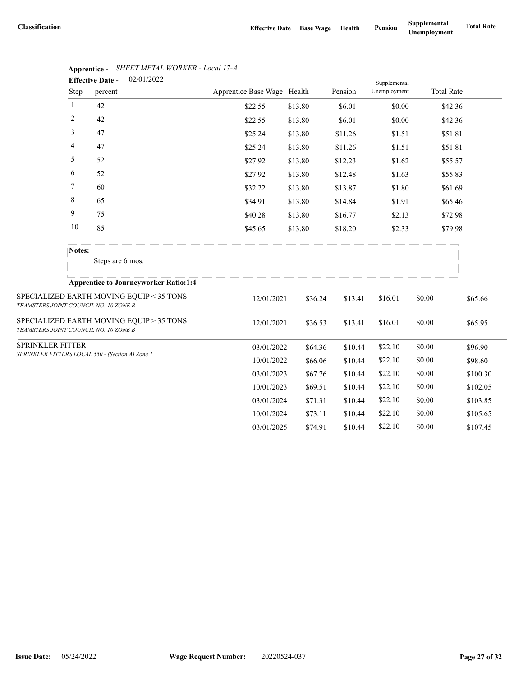|                                       |              | 02/01/2022<br><b>Effective Date -</b>            |                             |         |         | Supplemental |                   |          |
|---------------------------------------|--------------|--------------------------------------------------|-----------------------------|---------|---------|--------------|-------------------|----------|
|                                       | Step         | percent                                          | Apprentice Base Wage Health |         | Pension | Unemployment | <b>Total Rate</b> |          |
|                                       | $\mathbf{1}$ | 42                                               | \$22.55                     | \$13.80 | \$6.01  | \$0.00       |                   | \$42.36  |
|                                       | 2            | 42                                               | \$22.55                     | \$13.80 | \$6.01  | \$0.00       |                   | \$42.36  |
|                                       | 3            | 47                                               | \$25.24                     | \$13.80 | \$11.26 | \$1.51       |                   | \$51.81  |
|                                       | 4            | 47                                               | \$25.24                     | \$13.80 | \$11.26 | \$1.51       |                   | \$51.81  |
|                                       | 5            | 52                                               | \$27.92                     | \$13.80 | \$12.23 | \$1.62       |                   | \$55.57  |
|                                       | 6            | 52                                               | \$27.92                     | \$13.80 | \$12.48 | \$1.63       |                   | \$55.83  |
|                                       | 7            | 60                                               | \$32.22                     | \$13.80 | \$13.87 | \$1.80       |                   | \$61.69  |
|                                       | 8            | 65                                               | \$34.91                     | \$13.80 | \$14.84 | \$1.91       |                   | \$65.46  |
|                                       | 9            | 75                                               | \$40.28                     | \$13.80 | \$16.77 | \$2.13       |                   | \$72.98  |
|                                       | 10           | 85                                               | \$45.65                     | \$13.80 | \$18.20 | \$2.33       |                   | \$79.98  |
|                                       | Notes:       |                                                  |                             |         |         |              |                   |          |
|                                       |              | Steps are 6 mos.                                 |                             |         |         |              |                   |          |
|                                       |              | <b>Apprentice to Journeyworker Ratio:1:4</b>     |                             |         |         |              |                   |          |
| TEAMSTERS JOINT COUNCIL NO. 10 ZONE B |              | SPECIALIZED EARTH MOVING EQUIP < 35 TONS         | 12/01/2021                  | \$36.24 | \$13.41 | \$16.01      | \$0.00            | \$65.66  |
| TEAMSTERS JOINT COUNCIL NO. 10 ZONE B |              | SPECIALIZED EARTH MOVING EQUIP > 35 TONS         | 12/01/2021                  | \$36.53 | \$13.41 | \$16.01      | \$0.00            | \$65.95  |
| SPRINKLER FITTER                      |              |                                                  | 03/01/2022                  | \$64.36 | \$10.44 | \$22.10      | \$0.00            | \$96.90  |
|                                       |              | SPRINKLER FITTERS LOCAL 550 - (Section A) Zone 1 | 10/01/2022                  | \$66.06 | \$10.44 | \$22.10      | \$0.00            | \$98.60  |
|                                       |              |                                                  | 03/01/2023                  | \$67.76 | \$10.44 | \$22.10      | \$0.00            | \$100.30 |
|                                       |              |                                                  | 10/01/2023                  | \$69.51 | \$10.44 | \$22.10      | \$0.00            | \$102.05 |
|                                       |              |                                                  | 03/01/2024                  | \$71.31 | \$10.44 | \$22.10      | \$0.00            | \$103.85 |
|                                       |              |                                                  | 10/01/2024                  | \$73.11 | \$10.44 | \$22.10      | \$0.00            | \$105.65 |
|                                       |              |                                                  | 03/01/2025                  | \$74.91 | \$10.44 | \$22.10      | \$0.00            | \$107.45 |

**Apprentice -** *SHEET METAL WORKER - Local 17-A*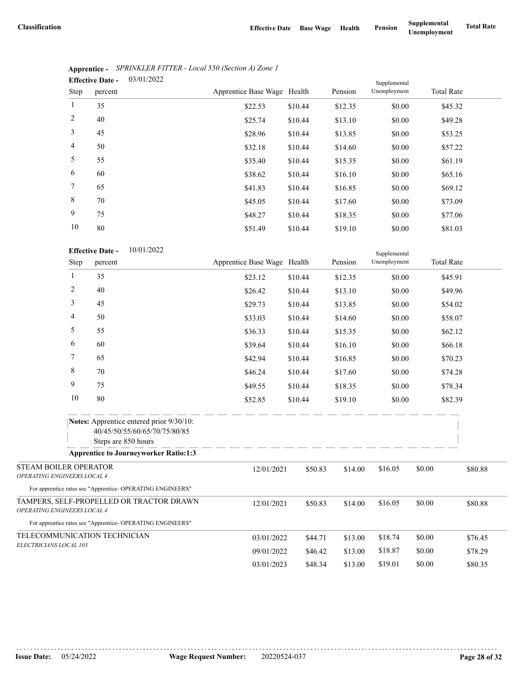|                 | <b>Effective Date -</b> | 03/01/2022 |                             |         |         | Supplemental |                   |  |
|-----------------|-------------------------|------------|-----------------------------|---------|---------|--------------|-------------------|--|
| <b>Step</b>     | percent                 |            | Apprentice Base Wage Health |         | Pension | Unemployment | <b>Total Rate</b> |  |
| $\mathbf{1}$    | 35                      |            | \$22.53                     | \$10.44 | \$12.35 | \$0.00       | \$45.32           |  |
| $\overline{2}$  | 40                      |            | \$25.74                     | \$10.44 | \$13.10 | \$0.00       | \$49.28           |  |
| 3               | 45                      |            | \$28.96                     | \$10.44 | \$13.85 | \$0.00       | \$53.25           |  |
| $\overline{4}$  | 50                      |            | \$32.18                     | \$10.44 | \$14.60 | \$0.00       | \$57.22           |  |
| 5               | 55                      |            | \$35.40                     | \$10.44 | \$15.35 | \$0.00       | \$61.19           |  |
| 6               | 60                      |            | \$38.62                     | \$10.44 | \$16.10 | \$0.00       | \$65.16           |  |
| $7\phantom{.0}$ | 65                      |            | \$41.83                     | \$10.44 | \$16.85 | \$0.00       | \$69.12           |  |
| 8               | 70                      |            | \$45.05                     | \$10.44 | \$17.60 | \$0.00       | \$73.09           |  |
| 9               | 75                      |            | \$48.27                     | \$10.44 | \$18.35 | \$0.00       | \$77.06           |  |
| 10              | 80                      |            | \$51.49                     | \$10.44 | \$19.10 | \$0.00       | \$81.03           |  |

|                                         | Apprentice - SPRINKLER FITTER - Local 550 (Section A) Zone 1 |
|-----------------------------------------|--------------------------------------------------------------|
| $\Gamma_{\rm ff}$ of $\Gamma_{\rm eff}$ | - <u>03/01/2022</u>                                          |

|                                                      | 10             | 80                      |                                                                           | \$51.49                     | \$10.44 | \$19.10 | \$0.00       |                   | \$81.03 |
|------------------------------------------------------|----------------|-------------------------|---------------------------------------------------------------------------|-----------------------------|---------|---------|--------------|-------------------|---------|
|                                                      |                | <b>Effective Date -</b> | 10/01/2022                                                                |                             |         |         | Supplemental |                   |         |
|                                                      | Step           | percent                 |                                                                           | Apprentice Base Wage Health |         | Pension | Unemployment | <b>Total Rate</b> |         |
|                                                      | $\mathbf{1}$   | 35                      |                                                                           | \$23.12                     | \$10.44 | \$12.35 | \$0.00       |                   | \$45.91 |
|                                                      | $\overline{2}$ | 40                      |                                                                           | \$26.42                     | \$10.44 | \$13.10 | \$0.00       |                   | \$49.96 |
|                                                      | 3              | 45                      |                                                                           | \$29.73                     | \$10.44 | \$13.85 | \$0.00       |                   | \$54.02 |
|                                                      | 4              | 50                      |                                                                           | \$33.03                     | \$10.44 | \$14.60 | \$0.00       |                   | \$58.07 |
|                                                      | 5              | 55                      |                                                                           | \$36.33                     | \$10.44 | \$15.35 | \$0.00       |                   | \$62.12 |
|                                                      | 6              | 60                      |                                                                           | \$39.64                     | \$10.44 | \$16.10 | \$0.00       |                   | \$66.18 |
|                                                      | 7              | 65                      |                                                                           | \$42.94                     | \$10.44 | \$16.85 | \$0.00       |                   | \$70.23 |
|                                                      | 8              | 70                      |                                                                           | \$46.24                     | \$10.44 | \$17.60 | \$0.00       |                   | \$74.28 |
|                                                      | 9              | 75                      |                                                                           | \$49.55                     | \$10.44 | \$18.35 | \$0.00       |                   | \$78.34 |
|                                                      | 10             | 80                      |                                                                           | \$52.85                     | \$10.44 | \$19.10 | \$0.00       |                   | \$82.39 |
|                                                      |                | Steps are 850 hours     | Notes: Apprentice entered prior 9/30/10:<br>40/45/50/55/60/65/70/75/80/85 | - - - - - - - - -           |         |         |              |                   |         |
|                                                      |                |                         | <b>Apprentice to Journeyworker Ratio:1:3</b>                              |                             |         |         |              |                   |         |
| STEAM BOILER OPERATOR<br>OPERATING ENGINEERS LOCAL 4 |                |                         | For apprentice rates see "Apprentice- OPERATING ENGINEERS"                | 12/01/2021                  | \$50.83 | \$14.00 | \$16.05      | \$0.00            | \$80.88 |
| <b>OPERATING ENGINEERS LOCAL 4</b>                   |                |                         | TAMPERS, SELF-PROPELLED OR TRACTOR DRAWN                                  | 12/01/2021                  | \$50.83 | \$14.00 | \$16.05      | \$0.00            | \$80.88 |
|                                                      |                |                         | For apprentice rates see "Apprentice- OPERATING ENGINEERS"                |                             |         |         |              |                   |         |
| TELECOMMUNICATION TECHNICIAN                         |                |                         |                                                                           | 03/01/2022                  | \$44.71 | \$13.00 | \$18.74      | \$0.00            | \$76.45 |
| ELECTRICIANS LOCAL 103                               |                |                         |                                                                           | 09/01/2022                  | \$46.42 | \$13.00 | \$18.87      | \$0.00            | \$78.29 |
|                                                      |                |                         |                                                                           | 03/01/2023                  | \$48.34 | \$13.00 | \$19.01      | \$0.00            | \$80.35 |
|                                                      |                |                         |                                                                           |                             |         |         |              |                   |         |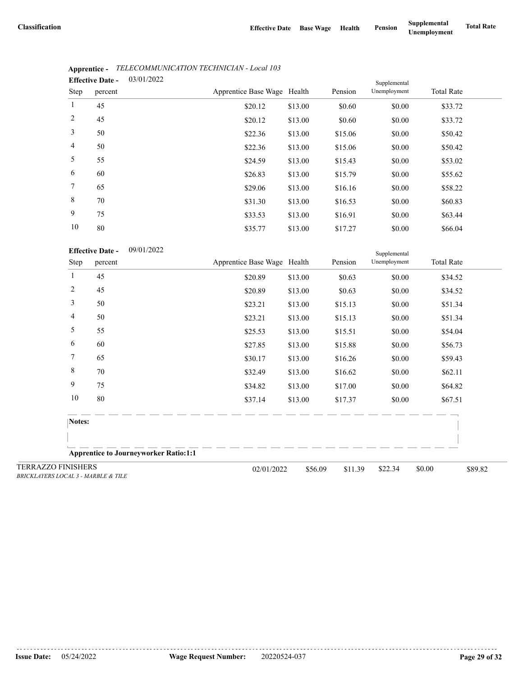|                | <b>Effective Date -</b> | 03/01/2022 |                             |         |         | Supplemental |                   |  |
|----------------|-------------------------|------------|-----------------------------|---------|---------|--------------|-------------------|--|
| <b>Step</b>    | percent                 |            | Apprentice Base Wage Health |         | Pension | Unemployment | <b>Total Rate</b> |  |
| $\mathbf{1}$   | 45                      |            | \$20.12                     | \$13.00 | \$0.60  | \$0.00       | \$33.72           |  |
| 2              | 45                      |            | \$20.12                     | \$13.00 | \$0.60  | \$0.00       | \$33.72           |  |
| $\mathfrak{Z}$ | 50                      |            | \$22.36                     | \$13.00 | \$15.06 | \$0.00       | \$50.42           |  |
| $\overline{4}$ | 50                      |            | \$22.36                     | \$13.00 | \$15.06 | \$0.00       | \$50.42           |  |
| 5              | 55                      |            | \$24.59                     | \$13.00 | \$15.43 | \$0.00       | \$53.02           |  |
| 6              | 60                      |            | \$26.83                     | \$13.00 | \$15.79 | \$0.00       | \$55.62           |  |
| $\tau$         | 65                      |            | \$29.06                     | \$13.00 | \$16.16 | \$0.00       | \$58.22           |  |
| 8              | 70                      |            | \$31.30                     | \$13.00 | \$16.53 | \$0.00       | \$60.83           |  |
| 9              | 75                      |            | \$33.53                     | \$13.00 | \$16.91 | \$0.00       | \$63.44           |  |
| 10             | 80                      |            | \$3577                      | \$13,00 | \$17.27 | \$0.00       | \$6604            |  |

# **Apprentice -** *TELECOMMUNICATION TECHNICIAN - Local 103*

| 80                           |                                                                  | \$35.77                                      | \$13.00 | \$17.27                                              | \$0.00                       | \$66.04           |         |
|------------------------------|------------------------------------------------------------------|----------------------------------------------|---------|------------------------------------------------------|------------------------------|-------------------|---------|
|                              | 09/01/2022                                                       |                                              |         |                                                      | Supplemental<br>Unemployment | <b>Total Rate</b> |         |
| 45                           |                                                                  |                                              |         |                                                      |                              |                   |         |
| 45                           |                                                                  | \$20.89                                      | \$13.00 | \$0.63                                               | \$0.00                       | \$34.52           |         |
| 50                           |                                                                  | \$23.21                                      | \$13.00 | \$15.13                                              | \$0.00                       | \$51.34           |         |
| 50                           |                                                                  | \$23.21                                      | \$13.00 | \$15.13                                              | \$0.00                       | \$51.34           |         |
| 55                           |                                                                  | \$25.53                                      | \$13.00 | \$15.51                                              | \$0.00                       | \$54.04           |         |
| 60                           |                                                                  | \$27.85                                      | \$13.00 | \$15.88                                              | \$0.00                       | \$56.73           |         |
| 65                           |                                                                  | \$30.17                                      | \$13.00 | \$16.26                                              | \$0.00                       | \$59.43           |         |
| 70                           |                                                                  | \$32.49                                      | \$13.00 | \$16.62                                              | \$0.00                       | \$62.11           |         |
| 75                           |                                                                  | \$34.82                                      | \$13.00 | \$17.00                                              | \$0.00                       | \$64.82           |         |
| 80                           |                                                                  | \$37.14                                      | \$13.00 | \$17.37                                              | \$0.00                       | \$67.51           |         |
|                              |                                                                  |                                              |         |                                                      |                              |                   |         |
|                              |                                                                  |                                              |         |                                                      |                              |                   |         |
|                              |                                                                  |                                              |         |                                                      |                              |                   |         |
| $0.011.1$ $111001F$ $0.701F$ |                                                                  |                                              |         | \$11.39                                              | \$22.34                      | \$0.00            | \$89.82 |
|                              | <b>Effective Date -</b><br>percent<br>Notes:<br><b>FINISHERS</b> | <b>Apprentice to Journeyworker Ratio:1:1</b> | \$20.89 | Apprentice Base Wage Health<br>\$13.00<br>02/01/2022 | Pension<br>\$0.63<br>\$56.09 | \$0.00            | \$34.52 |

TERRAZZO *BRICKLAYERS LOCAL 3 - MARBLE & TILE*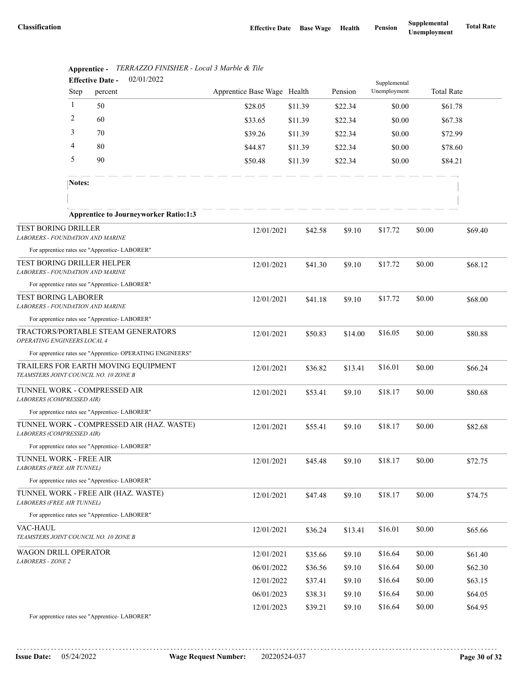|                                                                              | 02/01/2022<br><b>Effective Date -</b> |         |                                                            |                             |         | Supplemental |              |        |                   |  |
|------------------------------------------------------------------------------|---------------------------------------|---------|------------------------------------------------------------|-----------------------------|---------|--------------|--------------|--------|-------------------|--|
|                                                                              | <b>Step</b>                           | percent |                                                            | Apprentice Base Wage Health |         | Pension      | Unemployment |        | <b>Total Rate</b> |  |
|                                                                              | 1                                     | 50      |                                                            | \$28.05                     | \$11.39 | \$22.34      | \$0.00       |        | \$61.78           |  |
|                                                                              | 2                                     | 60      |                                                            | \$33.65                     | \$11.39 | \$22.34      | \$0.00       |        | \$67.38           |  |
|                                                                              | 3                                     | 70      |                                                            | \$39.26                     | \$11.39 | \$22.34      | \$0.00       |        | \$72.99           |  |
|                                                                              | 4<br>80                               |         |                                                            | \$44.87                     | \$11.39 | \$22.34      | \$0.00       |        | \$78.60           |  |
|                                                                              | 5<br>90                               |         |                                                            | \$50.48                     | \$11.39 | \$22.34      | \$0.00       |        | \$84.21           |  |
|                                                                              | Notes:                                |         |                                                            |                             |         |              |              |        |                   |  |
|                                                                              |                                       |         |                                                            |                             |         |              |              |        |                   |  |
|                                                                              |                                       |         | <b>Apprentice to Journeyworker Ratio:1:3</b>               |                             |         |              |              |        |                   |  |
| TEST BORING DRILLER<br>LABORERS - FOUNDATION AND MARINE                      |                                       |         |                                                            | 12/01/2021                  | \$42.58 | \$9.10       | \$17.72      | \$0.00 | \$69.40           |  |
| For apprentice rates see "Apprentice-LABORER"                                |                                       |         |                                                            |                             |         |              |              |        |                   |  |
| <b>TEST BORING DRILLER HELPER</b><br>LABORERS - FOUNDATION AND MARINE        |                                       |         |                                                            | 12/01/2021                  | \$41.30 | \$9.10       | \$17.72      | \$0.00 | \$68.12           |  |
| For apprentice rates see "Apprentice-LABORER"                                |                                       |         |                                                            |                             |         |              |              |        |                   |  |
| <b>TEST BORING LABORER</b><br><b>LABORERS - FOUNDATION AND MARINE</b>        |                                       |         |                                                            | 12/01/2021                  | \$41.18 | \$9.10       | \$17.72      | \$0.00 | \$68.00           |  |
| For apprentice rates see "Apprentice- LABORER"                               |                                       |         |                                                            |                             |         |              |              |        |                   |  |
| TRACTORS/PORTABLE STEAM GENERATORS<br>OPERATING ENGINEERS LOCAL 4            |                                       |         |                                                            | 12/01/2021                  | \$50.83 | \$14.00      | \$16.05      | \$0.00 | \$80.88           |  |
|                                                                              |                                       |         | For apprentice rates see "Apprentice- OPERATING ENGINEERS" |                             |         |              |              |        |                   |  |
| TRAILERS FOR EARTH MOVING EQUIPMENT<br>TEAMSTERS JOINT COUNCIL NO. 10 ZONE B |                                       |         |                                                            | 12/01/2021                  | \$36.82 | \$13.41      | \$16.01      | \$0.00 | \$66.24           |  |
| TUNNEL WORK - COMPRESSED AIR<br>LABORERS (COMPRESSED AIR)                    |                                       |         |                                                            | 12/01/2021                  | \$53.41 | \$9.10       | \$18.17      | \$0.00 | \$80.68           |  |
| For apprentice rates see "Apprentice- LABORER"                               |                                       |         |                                                            |                             |         |              |              |        |                   |  |
| LABORERS (COMPRESSED AIR)                                                    |                                       |         | TUNNEL WORK - COMPRESSED AIR (HAZ. WASTE)                  | 12/01/2021                  | \$55.41 | \$9.10       | \$18.17      | \$0.00 | \$82.68           |  |
| For apprentice rates see "Apprentice-LABORER"                                |                                       |         |                                                            |                             |         |              |              |        |                   |  |
| TUNNEL WORK - FREE AIR<br>LABORERS (FREE AIR TUNNEL)                         |                                       |         |                                                            | 12/01/2021                  | \$45.48 | \$9.10       | \$18.17      | \$0.00 | \$72.75           |  |
| For apprentice rates see "Apprentice-LABORER"                                |                                       |         |                                                            |                             |         |              |              |        |                   |  |
| TUNNEL WORK - FREE AIR (HAZ. WASTE)<br><b>LABORERS (FREE AIR TUNNEL)</b>     |                                       |         |                                                            | 12/01/2021                  | \$47.48 | \$9.10       | \$18.17      | \$0.00 | \$74.75           |  |
| For apprentice rates see "Apprentice-LABORER"                                |                                       |         |                                                            |                             |         |              |              |        |                   |  |
| VAC-HAUL<br>TEAMSTERS JOINT COUNCIL NO. 10 ZONE B                            |                                       |         |                                                            | 12/01/2021                  | \$36.24 | \$13.41      | \$16.01      | \$0.00 | \$65.66           |  |
| WAGON DRILL OPERATOR<br>LABORERS - ZONE 2                                    |                                       |         |                                                            | 12/01/2021                  | \$35.66 | \$9.10       | \$16.64      | \$0.00 | \$61.40           |  |
|                                                                              |                                       |         |                                                            | 06/01/2022                  | \$36.56 | \$9.10       | \$16.64      | \$0.00 | \$62.30           |  |
|                                                                              |                                       |         |                                                            | 12/01/2022                  | \$37.41 | \$9.10       | \$16.64      | \$0.00 | \$63.15           |  |
|                                                                              |                                       |         |                                                            | 06/01/2023                  | \$38.31 | \$9.10       | \$16.64      | \$0.00 | \$64.05           |  |
|                                                                              |                                       |         |                                                            | 12/01/2023                  | \$39.21 | \$9.10       | \$16.64      | \$0.00 | \$64.95           |  |
| For apprentice rates see "Apprentice- LABORER"                               |                                       |         |                                                            |                             |         |              |              |        |                   |  |

|                              |  | Apprentice - TERRAZZO FINISHER - Local 3 Marble & Tile |  |
|------------------------------|--|--------------------------------------------------------|--|
| $\mathbf{r}$ as $\mathbf{r}$ |  | 02/01/2022                                             |  |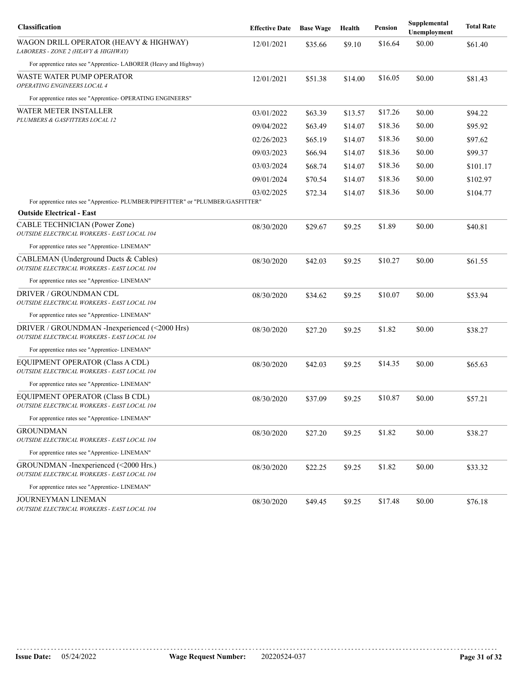| Classification                                                                               | <b>Effective Date</b> | <b>Base Wage</b> | Health  | <b>Pension</b> | Supplemental<br>Unemployment | <b>Total Rate</b> |
|----------------------------------------------------------------------------------------------|-----------------------|------------------|---------|----------------|------------------------------|-------------------|
| WAGON DRILL OPERATOR (HEAVY & HIGHWAY)<br>LABORERS - ZONE 2 (HEAVY & HIGHWAY)                | 12/01/2021            | \$35.66          | \$9.10  | \$16.64        | \$0.00                       | \$61.40           |
| For apprentice rates see "Apprentice-LABORER (Heavy and Highway)                             |                       |                  |         |                |                              |                   |
| WASTE WATER PUMP OPERATOR<br>OPERATING ENGINEERS LOCAL 4                                     | 12/01/2021            | \$51.38          | \$14.00 | \$16.05        | \$0.00                       | \$81.43           |
| For apprentice rates see "Apprentice- OPERATING ENGINEERS"                                   |                       |                  |         |                |                              |                   |
| WATER METER INSTALLER                                                                        | 03/01/2022            | \$63.39          | \$13.57 | \$17.26        | \$0.00                       | \$94.22           |
| PLUMBERS & GASFITTERS LOCAL 12                                                               | 09/04/2022            | \$63.49          | \$14.07 | \$18.36        | \$0.00                       | \$95.92           |
|                                                                                              | 02/26/2023            | \$65.19          | \$14.07 | \$18.36        | \$0.00                       | \$97.62           |
|                                                                                              | 09/03/2023            | \$66.94          | \$14.07 | \$18.36        | \$0.00                       | \$99.37           |
|                                                                                              | 03/03/2024            | \$68.74          | \$14.07 | \$18.36        | \$0.00                       | \$101.17          |
|                                                                                              | 09/01/2024            | \$70.54          | \$14.07 | \$18.36        | \$0.00                       | \$102.97          |
|                                                                                              | 03/02/2025            | \$72.34          | \$14.07 | \$18.36        | \$0.00                       | \$104.77          |
| For apprentice rates see "Apprentice- PLUMBER/PIPEFITTER" or "PLUMBER/GASFITTER"             |                       |                  |         |                |                              |                   |
| <b>Outside Electrical - East</b>                                                             |                       |                  |         |                |                              |                   |
| CABLE TECHNICIAN (Power Zone)<br>OUTSIDE ELECTRICAL WORKERS - EAST LOCAL 104                 | 08/30/2020            | \$29.67          | \$9.25  | \$1.89         | \$0.00                       | \$40.81           |
| For apprentice rates see "Apprentice- LINEMAN"                                               |                       |                  |         |                |                              |                   |
| CABLEMAN (Underground Ducts & Cables)<br>OUTSIDE ELECTRICAL WORKERS - EAST LOCAL 104         | 08/30/2020            | \$42.03          | \$9.25  | \$10.27        | \$0.00                       | \$61.55           |
| For apprentice rates see "Apprentice- LINEMAN"                                               |                       |                  |         |                |                              |                   |
| DRIVER / GROUNDMAN CDL<br>OUTSIDE ELECTRICAL WORKERS - EAST LOCAL 104                        | 08/30/2020            | \$34.62          | \$9.25  | \$10.07        | \$0.00                       | \$53.94           |
| For apprentice rates see "Apprentice- LINEMAN"                                               |                       |                  |         |                |                              |                   |
| DRIVER / GROUNDMAN -Inexperienced (<2000 Hrs)<br>OUTSIDE ELECTRICAL WORKERS - EAST LOCAL 104 | 08/30/2020            | \$27.20          | \$9.25  | \$1.82         | \$0.00                       | \$38.27           |
| For apprentice rates see "Apprentice- LINEMAN"                                               |                       |                  |         |                |                              |                   |
| EQUIPMENT OPERATOR (Class A CDL)<br>OUTSIDE ELECTRICAL WORKERS - EAST LOCAL 104              | 08/30/2020            | \$42.03          | \$9.25  | \$14.35        | \$0.00                       | \$65.63           |
| For apprentice rates see "Apprentice- LINEMAN"                                               |                       |                  |         |                |                              |                   |
| EQUIPMENT OPERATOR (Class B CDL)<br>OUTSIDE ELECTRICAL WORKERS - EAST LOCAL 104              | 08/30/2020            | \$37.09          | \$9.25  | \$10.87        | \$0.00                       | \$57.21           |
| For apprentice rates see "Apprentice- LINEMAN"                                               |                       |                  |         |                |                              |                   |
| GROUNDMAN<br>OUTSIDE ELECTRICAL WORKERS - EAST LOCAL 104                                     | 08/30/2020            | \$27.20          | \$9.25  | \$1.82         | \$0.00                       | \$38.27           |
| For apprentice rates see "Apprentice- LINEMAN"                                               |                       |                  |         |                |                              |                   |
| GROUNDMAN - Inexperienced (<2000 Hrs.)<br>OUTSIDE ELECTRICAL WORKERS - EAST LOCAL 104        | 08/30/2020            | \$22.25          | \$9.25  | \$1.82         | \$0.00                       | \$33.32           |
| For apprentice rates see "Apprentice-LINEMAN"                                                |                       |                  |         |                |                              |                   |
| JOURNEYMAN LINEMAN<br>OUTSIDE ELECTRICAL WORKERS - EAST LOCAL 104                            | 08/30/2020            | \$49.45          | \$9.25  | \$17.48        | \$0.00                       | \$76.18           |